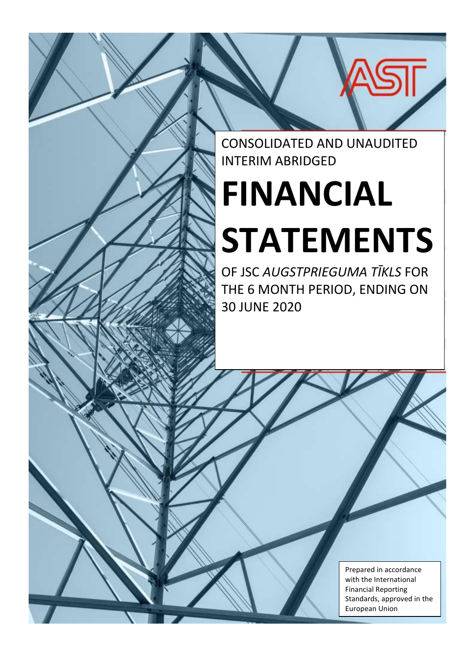

# **FINANCIAL STATEMENTS**

OF JSC *AUGSTPRIEGUMA TĪKLS* FOR THE 6 MONTH PERIOD, ENDING ON 30 JUNE 2020

> Prepared in accordance with the International Financial Reporting Standards, approved in the European Union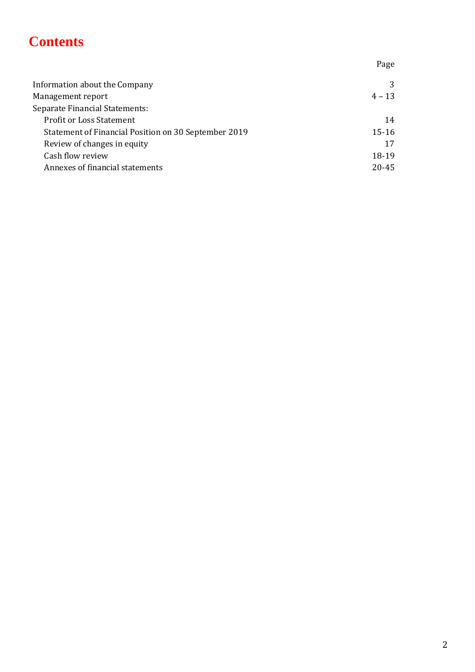# **Contents**

Page Information about the Company 3 Management report 4 – 13 Separate Financial Statements: Profit or Loss Statement 14 Statement of Financial Position on 30 September 2019 15-16 Review of changes in equity 17 Cash flow review 18-19 Annexes of financial statements 20-45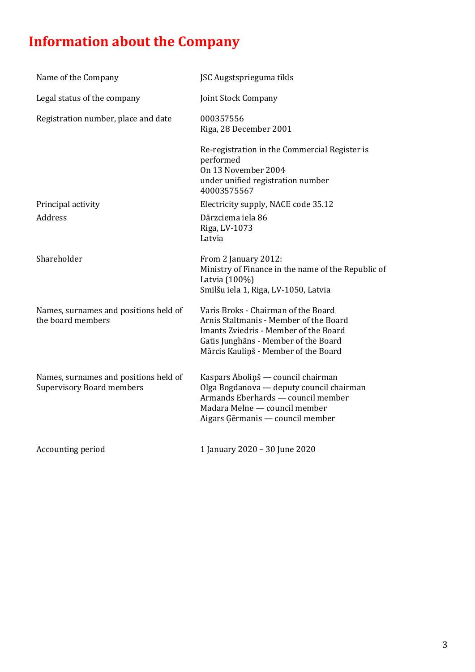# **Information about the Company**

| Name of the Company                                                       | JSC Augstsprieguma tīkls                                                                                                                                                                               |
|---------------------------------------------------------------------------|--------------------------------------------------------------------------------------------------------------------------------------------------------------------------------------------------------|
| Legal status of the company                                               | Joint Stock Company                                                                                                                                                                                    |
| Registration number, place and date                                       | 000357556<br>Riga, 28 December 2001                                                                                                                                                                    |
|                                                                           | Re-registration in the Commercial Register is<br>performed<br>On 13 November 2004<br>under unified registration number<br>40003575567                                                                  |
| Principal activity                                                        | Electricity supply, NACE code 35.12                                                                                                                                                                    |
| Address                                                                   | Dārzciema iela 86<br>Riga, LV-1073<br>Latvia                                                                                                                                                           |
| Shareholder                                                               | From 2 January 2012:<br>Ministry of Finance in the name of the Republic of<br>Latvia (100%)<br>Smilšu iela 1, Riga, LV-1050, Latvia                                                                    |
| Names, surnames and positions held of<br>the board members                | Varis Broks - Chairman of the Board<br>Arnis Staltmanis - Member of the Board<br>Imants Zviedris - Member of the Board<br>Gatis Junghāns - Member of the Board<br>Mārcis Kauliņš - Member of the Board |
| Names, surnames and positions held of<br><b>Supervisory Board members</b> | Kaspars Āboliņš — council chairman<br>Olga Bogdanova — deputy council chairman<br>Armands Eberhards - council member<br>Madara Melne - council member<br>Aigars Ģērmanis — council member              |
| Accounting period                                                         | 1 January 2020 - 30 June 2020                                                                                                                                                                          |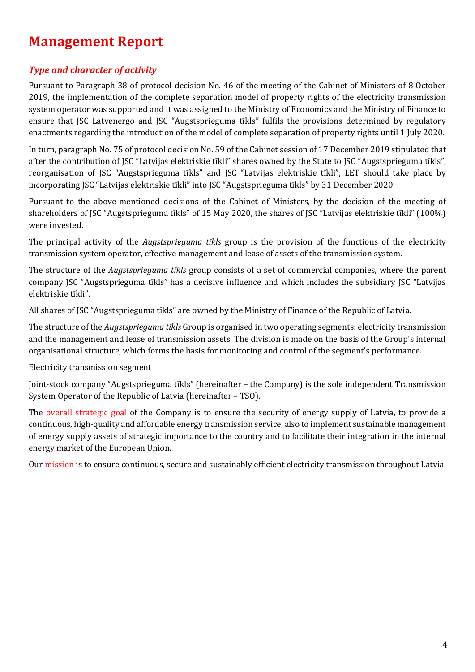# **Management Report**

# *Type and character of activity*

Pursuant to Paragraph 38 of protocol decision No. 46 of the meeting of the Cabinet of Ministers of 8 October 2019, the implementation of the complete separation model of property rights of the electricity transmission system operator was supported and it was assigned to the Ministry of Economics and the Ministry of Finance to ensure that JSC Latvenergo and JSC "Augstsprieguma tīkls" fulfils the provisions determined by regulatory enactments regarding the introduction of the model of complete separation of property rights until 1 July 2020.

In turn, paragraph No. 75 of protocol decision No. 59 of the Cabinet session of 17 December 2019 stipulated that after the contribution of JSC "Latvijas elektriskie tīkli" shares owned by the State to JSC "Augstsprieguma tīkls", reorganisation of JSC "Augstsprieguma tīkls" and JSC "Latvijas elektriskie tīkli", LET should take place by incorporating JSC "Latvijas elektriskie tīkli" into JSC "Augstsprieguma tīkls" by 31 December 2020.

Pursuant to the above-mentioned decisions of the Cabinet of Ministers, by the decision of the meeting of shareholders of JSC "Augstsprieguma tīkls" of 15 May 2020, the shares of JSC "Latvijas elektriskie tīkli" (100%) were invested.

The principal activity of the *Augstsprieguma tīkls* group is the provision of the functions of the electricity transmission system operator, effective management and lease of assets of the transmission system.

The structure of the *Augstsprieguma tīkls* group consists of a set of commercial companies, where the parent company JSC "Augstsprieguma tīkls" has a decisive influence and which includes the subsidiary JSC "Latvijas elektriskie tīkli".

All shares of JSC "Augstsprieguma tīkls" are owned by the Ministry of Finance of the Republic of Latvia.

The structure of the *Augstsprieguma tīkls* Group is organised in two operating segments: electricity transmission and the management and lease of transmission assets. The division is made on the basis of the Group's internal organisational structure, which forms the basis for monitoring and control of the segment's performance.

#### Electricity transmission segment

Joint-stock company "Augstsprieguma tīkls" (hereinafter – the Company) is the sole independent Transmission System Operator of the Republic of Latvia (hereinafter – TSO).

The overall strategic goal of the Company is to ensure the security of energy supply of Latvia, to provide a continuous, high-quality and affordable energy transmission service, also to implement sustainable management of energy supply assets of strategic importance to the country and to facilitate their integration in the internal energy market of the European Union.

Our mission is to ensure continuous, secure and sustainably efficient electricity transmission throughout Latvia.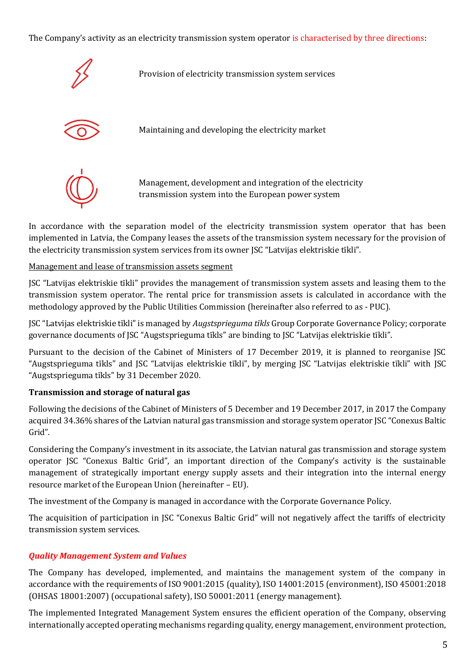The Company's activity as an electricity transmission system operator is characterised by three directions:



Provision of electricity transmission system services



Maintaining and developing the electricity market



Management, development and integration of the electricity transmission system into the European power system

In accordance with the separation model of the electricity transmission system operator that has been implemented in Latvia, the Company leases the assets of the transmission system necessary for the provision of the electricity transmission system services from its owner JSC "Latvijas elektriskie tīkli".

#### Management and lease of transmission assets segment

JSC "Latvijas elektriskie tīkli" provides the management of transmission system assets and leasing them to the transmission system operator. The rental price for transmission assets is calculated in accordance with the methodology approved by the Public Utilities Commission (hereinafter also referred to as - PUC).

JSC "Latvijas elektriskie tīkli" is managed by *Augstsprieguma tīkls* Group Corporate Governance Policy; corporate governance documents of JSC "Augstsprieguma tīkls" are binding to JSC "Latvijas elektriskie tīkli".

Pursuant to the decision of the Cabinet of Ministers of 17 December 2019, it is planned to reorganise JSC "Augstsprieguma tīkls" and JSC "Latvijas elektriskie tīkli", by merging JSC "Latvijas elektriskie tīkli" with JSC "Augstsprieguma tīkls" by 31 December 2020.

#### **Transmission and storage of natural gas**

Following the decisions of the Cabinet of Ministers of 5 December and 19 December 2017, in 2017 the Company acquired 34.36% shares of the Latvian natural gas transmission and storage system operator JSC "Conexus Baltic Grid".

Considering the Company's investment in its associate, the Latvian natural gas transmission and storage system operator JSC "Conexus Baltic Grid", an important direction of the Company's activity is the sustainable management of strategically important energy supply assets and their integration into the internal energy resource market of the European Union (hereinafter – EU).

The investment of the Company is managed in accordance with the Corporate Governance Policy.

The acquisition of participation in JSC "Conexus Baltic Grid" will not negatively affect the tariffs of electricity transmission system services.

#### *Quality Management System and Values*

The Company has developed, implemented, and maintains the management system of the company in accordance with the requirements of ISO 9001:2015 (quality), ISO 14001:2015 (environment), ISO 45001:2018 (OHSAS 18001:2007) (occupational safety), ISO 50001:2011 (energy management).

The implemented Integrated Management System ensures the efficient operation of the Company, observing internationally accepted operating mechanisms regarding quality, energy management, environment protection,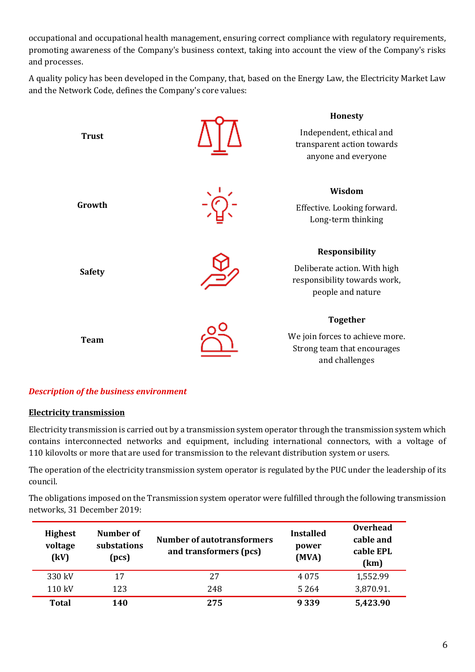occupational and occupational health management, ensuring correct compliance with regulatory requirements, promoting awareness of the Company's business context, taking into account the view of the Company's risks and processes.

A quality policy has been developed in the Company, that, based on the Energy Law, the Electricity Market Law and the Network Code, defines the Company's core values:



#### *Description of the business environment*

#### **Electricity transmission**

Electricity transmission is carried out by a transmission system operator through the transmission system which contains interconnected networks and equipment, including international connectors, with a voltage of 110 kilovolts or more that are used for transmission to the relevant distribution system or users.

The operation of the electricity transmission system operator is regulated by the PUC under the leadership of its council.

The obligations imposed on the Transmission system operator were fulfilled through the following transmission networks, 31 December 2019:

| <b>Highest</b><br>voltage<br>(kV) | Number of<br>substations<br>(pcs) | <b>Number of autotransformers</b><br>and transformers (pcs) | <b>Installed</b><br>power<br>(MVA) | <b>Overhead</b><br>cable and<br>cable EPL<br>(km) |
|-----------------------------------|-----------------------------------|-------------------------------------------------------------|------------------------------------|---------------------------------------------------|
| 330 kV                            | 17                                | 27                                                          | 4 0 7 5                            | 1,552.99                                          |
| 110 kV                            | 123                               | 248                                                         | 5 2 6 4                            | 3,870.91.                                         |
| <b>Total</b>                      | 140                               | 275                                                         | 9 3 3 9                            | 5,423.90                                          |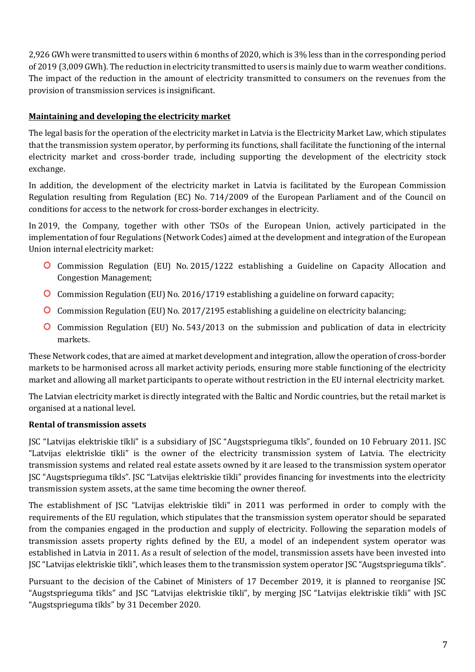2,926 GWh were transmitted to users within 6 months of 2020, which is 3% less than in the corresponding period of 2019 (3,009 GWh). The reduction in electricity transmitted to users is mainly due to warm weather conditions. The impact of the reduction in the amount of electricity transmitted to consumers on the revenues from the provision of transmission services is insignificant.

#### **Maintaining and developing the electricity market**

The legal basis for the operation of the electricity market in Latvia is the Electricity Market Law, which stipulates that the transmission system operator, by performing its functions, shall facilitate the functioning of the internal electricity market and cross-border trade, including supporting the development of the electricity stock exchange.

In addition, the development of the electricity market in Latvia is facilitated by the European Commission Regulation resulting from Regulation (EC) No. 714/2009 of the European Parliament and of the Council on conditions for access to the network for cross-border exchanges in electricity.

In 2019, the Company, together with other TSOs of the European Union, actively participated in the implementation of four Regulations (Network Codes) aimed at the development and integration of the European Union internal electricity market:

- Commission Regulation (EU) No. 2015/1222 establishing a Guideline on Capacity Allocation and Congestion Management;
- Commission Regulation (EU) No. 2016/1719 establishing a guideline on forward capacity;
- Commission Regulation (EU) No. 2017/2195 establishing a guideline on electricity balancing;
- Commission Regulation (EU) No. 543/2013 on the submission and publication of data in electricity markets.

These Network codes, that are aimed at market development and integration, allow the operation of cross-border markets to be harmonised across all market activity periods, ensuring more stable functioning of the electricity market and allowing all market participants to operate without restriction in the EU internal electricity market.

The Latvian electricity market is directly integrated with the Baltic and Nordic countries, but the retail market is organised at a national level.

#### **Rental of transmission assets**

JSC "Latvijas elektriskie tīkli" is a subsidiary of JSC "Augstsprieguma tīkls", founded on 10 February 2011. JSC "Latvijas elektriskie tīkli" is the owner of the electricity transmission system of Latvia. The electricity transmission systems and related real estate assets owned by it are leased to the transmission system operator JSC "Augstsprieguma tīkls". JSC "Latvijas elektriskie tīkli" provides financing for investments into the electricity transmission system assets, at the same time becoming the owner thereof.

The establishment of JSC "Latvijas elektriskie tīkli" in 2011 was performed in order to comply with the requirements of the EU regulation, which stipulates that the transmission system operator should be separated from the companies engaged in the production and supply of electricity. Following the separation models of transmission assets property rights defined by the EU, a model of an independent system operator was established in Latvia in 2011. As a result of selection of the model, transmission assets have been invested into JSC "Latvijas elektriskie tīkli", which leases them to the transmission system operator JSC "Augstsprieguma tīkls".

Pursuant to the decision of the Cabinet of Ministers of 17 December 2019, it is planned to reorganise JSC "Augstsprieguma tīkls" and JSC "Latvijas elektriskie tīkli", by merging JSC "Latvijas elektriskie tīkli" with JSC "Augstsprieguma tīkls" by 31 December 2020.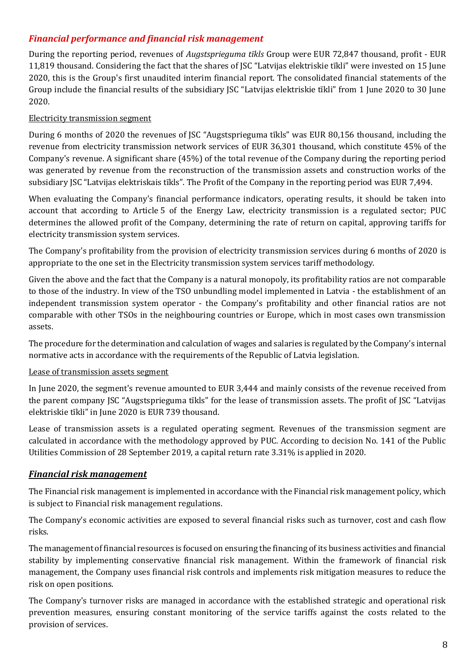# *Financial performance and financial risk management*

During the reporting period, revenues of *Augstsprieguma tīkls* Group were EUR 72,847 thousand, profit - EUR 11,819 thousand. Considering the fact that the shares of JSC "Latvijas elektriskie tīkli" were invested on 15 June 2020, this is the Group's first unaudited interim financial report. The consolidated financial statements of the Group include the financial results of the subsidiary JSC "Latvijas elektriskie tīkli" from 1 June 2020 to 30 June 2020.

#### Electricity transmission segment

During 6 months of 2020 the revenues of JSC "Augstsprieguma tīkls" was EUR 80,156 thousand, including the revenue from electricity transmission network services of EUR 36,301 thousand, which constitute 45% of the Company's revenue. A significant share (45%) of the total revenue of the Company during the reporting period was generated by revenue from the reconstruction of the transmission assets and construction works of the subsidiary JSC "Latvijas elektriskais tīkls". The Profit of the Company in the reporting period was EUR 7,494.

When evaluating the Company's financial performance indicators, operating results, it should be taken into account that according to Article 5 of the Energy Law, electricity transmission is a regulated sector; PUC determines the allowed profit of the Company, determining the rate of return on capital, approving tariffs for electricity transmission system services.

The Company's profitability from the provision of electricity transmission services during 6 months of 2020 is appropriate to the one set in the Electricity transmission system services tariff methodology.

Given the above and the fact that the Company is a natural monopoly, its profitability ratios are not comparable to those of the industry. In view of the TSO unbundling model implemented in Latvia - the establishment of an independent transmission system operator - the Company's profitability and other financial ratios are not comparable with other TSOs in the neighbouring countries or Europe, which in most cases own transmission assets.

The procedure for the determination and calculation of wages and salaries is regulated by the Company's internal normative acts in accordance with the requirements of the Republic of Latvia legislation.

#### Lease of transmission assets segment

In June 2020, the segment's revenue amounted to EUR 3,444 and mainly consists of the revenue received from the parent company JSC "Augstsprieguma tīkls" for the lease of transmission assets. The profit of JSC "Latvijas elektriskie tīkli" in June 2020 is EUR 739 thousand.

Lease of transmission assets is a regulated operating segment. Revenues of the transmission segment are calculated in accordance with the methodology approved by PUC. According to decision No. 141 of the Public Utilities Commission of 28 September 2019, a capital return rate 3.31% is applied in 2020.

# *Financial risk management*

The Financial risk management is implemented in accordance with the Financial risk management policy, which is subject to Financial risk management regulations.

The Company's economic activities are exposed to several financial risks such as turnover, cost and cash flow risks.

The management of financial resources is focused on ensuring the financing of its business activities and financial stability by implementing conservative financial risk management. Within the framework of financial risk management, the Company uses financial risk controls and implements risk mitigation measures to reduce the risk on open positions.

The Company's turnover risks are managed in accordance with the established strategic and operational risk prevention measures, ensuring constant monitoring of the service tariffs against the costs related to the provision of services.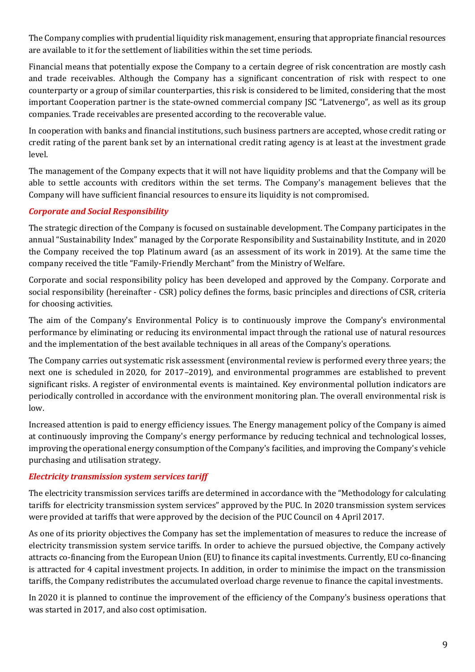The Company complies with prudential liquidity risk management, ensuring that appropriate financial resources are available to it for the settlement of liabilities within the set time periods.

Financial means that potentially expose the Company to a certain degree of risk concentration are mostly cash and trade receivables. Although the Company has a significant concentration of risk with respect to one counterparty or a group of similar counterparties, this risk is considered to be limited, considering that the most important Cooperation partner is the state-owned commercial company JSC "Latvenergo", as well as its group companies. Trade receivables are presented according to the recoverable value.

In cooperation with banks and financial institutions, such business partners are accepted, whose credit rating or credit rating of the parent bank set by an international credit rating agency is at least at the investment grade level.

The management of the Company expects that it will not have liquidity problems and that the Company will be able to settle accounts with creditors within the set terms. The Company's management believes that the Company will have sufficient financial resources to ensure its liquidity is not compromised.

#### *Corporate and Social Responsibility*

The strategic direction of the Company is focused on sustainable development. The Company participates in the annual "Sustainability Index" managed by the Corporate Responsibility and Sustainability Institute, and in 2020 the Company received the top Platinum award (as an assessment of its work in 2019). At the same time the company received the title "Family-Friendly Merchant" from the Ministry of Welfare.

Corporate and social responsibility policy has been developed and approved by the Company. Corporate and social responsibility (hereinafter - CSR) policy defines the forms, basic principles and directions of CSR, criteria for choosing activities.

The aim of the Company's Environmental Policy is to continuously improve the Company's environmental performance by eliminating or reducing its environmental impact through the rational use of natural resources and the implementation of the best available techniques in all areas of the Company's operations.

The Company carries out systematic risk assessment (environmental review is performed every three years; the next one is scheduled in 2020, for 2017–2019), and environmental programmes are established to prevent significant risks. A register of environmental events is maintained. Key environmental pollution indicators are periodically controlled in accordance with the environment monitoring plan. The overall environmental risk is low.

Increased attention is paid to energy efficiency issues. The Energy management policy of the Company is aimed at continuously improving the Company's energy performance by reducing technical and technological losses, improving the operational energy consumption of the Company's facilities, and improving the Company's vehicle purchasing and utilisation strategy.

#### *Electricity transmission system services tariff*

The electricity transmission services tariffs are determined in accordance with the "Methodology for calculating tariffs for electricity transmission system services" approved by the PUC. In 2020 transmission system services were provided at tariffs that were approved by the decision of the PUC Council on 4 April 2017.

As one of its priority objectives the Company has set the implementation of measures to reduce the increase of electricity transmission system service tariffs. In order to achieve the pursued objective, the Company actively attracts co-financing from the European Union (EU) to finance its capital investments. Currently, EU co-financing is attracted for 4 capital investment projects. In addition, in order to minimise the impact on the transmission tariffs, the Company redistributes the accumulated overload charge revenue to finance the capital investments.

In 2020 it is planned to continue the improvement of the efficiency of the Company's business operations that was started in 2017, and also cost optimisation.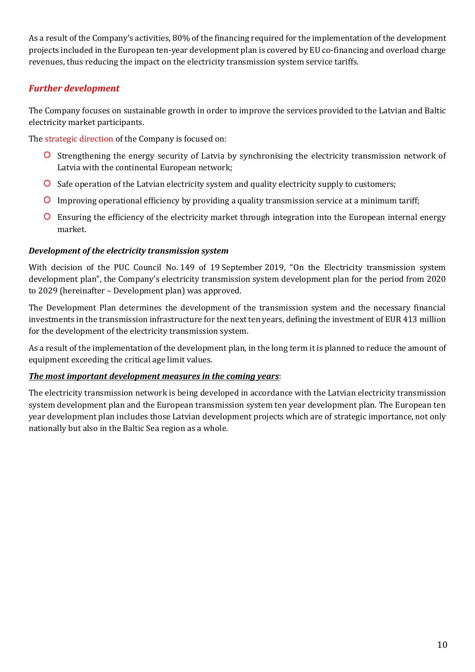As a result of the Company's activities, 80% of the financing required for the implementation of the development projects included in the European ten-year development plan is covered by EU co-financing and overload charge revenues, thus reducing the impact on the electricity transmission system service tariffs.

# *Further development*

The Company focuses on sustainable growth in order to improve the services provided to the Latvian and Baltic electricity market participants.

The strategic direction of the Company is focused on:

- **O** Strengthening the energy security of Latvia by synchronising the electricity transmission network of Latvia with the continental European network;
- **O** Safe operation of the Latvian electricity system and quality electricity supply to customers;
- Improving operational efficiency by providing a quality transmission service at a minimum tariff;
- Ensuring the efficiency of the electricity market through integration into the European internal energy market.

#### *Development of the electricity transmission system*

With decision of the PUC Council No. 149 of 19 September 2019, "On the Electricity transmission system development plan", the Company's electricity transmission system development plan for the period from 2020 to 2029 (hereinafter – Development plan) was approved.

The Development Plan determines the development of the transmission system and the necessary financial investments in the transmission infrastructure for the next ten years, defining the investment of EUR 413 million for the development of the electricity transmission system.

As a result of the implementation of the development plan, in the long term it is planned to reduce the amount of equipment exceeding the critical age limit values.

#### *The most important development measures in the coming years*:

The electricity transmission network is being developed in accordance with the Latvian electricity transmission system development plan and the European transmission system ten year development plan. The European ten year development plan includes those Latvian development projects which are of strategic importance, not only nationally but also in the Baltic Sea region as a whole.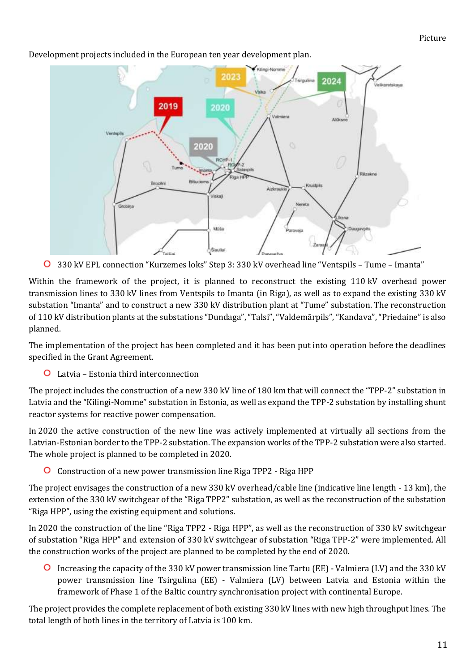#### Picture



Development projects included in the European ten year development plan.

330 kV EPL connection "Kurzemes loks" Step 3: 330 kV overhead line "Ventspils – Tume – Imanta"

Within the framework of the project, it is planned to reconstruct the existing 110 kV overhead power transmission lines to 330 kV lines from Ventspils to Imanta (in Riga), as well as to expand the existing 330 kV substation "Imanta" and to construct a new 330 kV distribution plant at "Tume" substation. The reconstruction of 110 kV distribution plants at the substations "Dundaga", "Talsi", "Valdemārpils", "Kandava", "Priedaine" is also planned.

The implementation of the project has been completed and it has been put into operation before the deadlines specified in the Grant Agreement.

Latvia – Estonia third interconnection

The project includes the construction of a new 330 kV line of 180 km that will connect the "TPP-2" substation in Latvia and the "Kilingi-Nomme" substation in Estonia, as well as expand the TPP-2 substation by installing shunt reactor systems for reactive power compensation.

In 2020 the active construction of the new line was actively implemented at virtually all sections from the Latvian-Estonian border to the TPP-2 substation. The expansion works of the TPP-2 substation were also started. The whole project is planned to be completed in 2020.

Construction of a new power transmission line Riga TPP2 - Riga HPP

The project envisages the construction of a new 330 kV overhead/cable line (indicative line length - 13 km), the extension of the 330 kV switchgear of the "Riga TPP2" substation, as well as the reconstruction of the substation "Riga HPP", using the existing equipment and solutions.

In 2020 the construction of the line "Riga TPP2 - Riga HPP", as well as the reconstruction of 330 kV switchgear of substation "Riga HPP" and extension of 330 kV switchgear of substation "Riga TPP-2" were implemented. All the construction works of the project are planned to be completed by the end of 2020.

Increasing the capacity of the 330 kV power transmission line Tartu (EE) - Valmiera (LV) and the 330 kV power transmission line Tsirgulina (EE) - Valmiera (LV) between Latvia and Estonia within the framework of Phase 1 of the Baltic country synchronisation project with continental Europe.

The project provides the complete replacement of both existing 330 kV lines with new high throughput lines. The total length of both lines in the territory of Latvia is 100 km.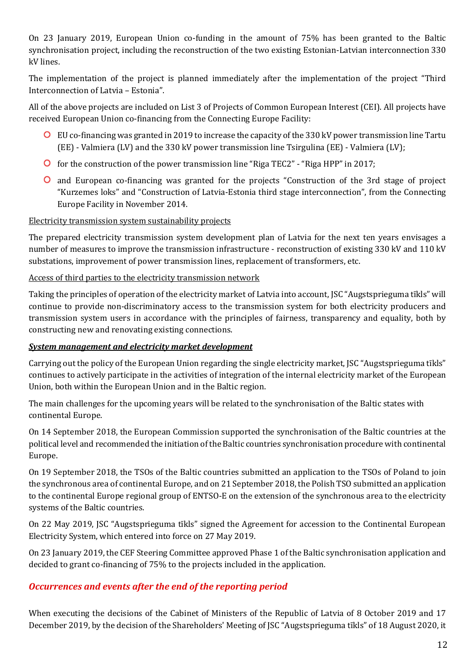On 23 January 2019, European Union co-funding in the amount of 75% has been granted to the Baltic synchronisation project, including the reconstruction of the two existing Estonian-Latvian interconnection 330 kV lines.

The implementation of the project is planned immediately after the implementation of the project "Third Interconnection of Latvia – Estonia".

All of the above projects are included on List 3 of Projects of Common European Interest (CEI). All projects have received European Union co-financing from the Connecting Europe Facility:

- EU co-financing was granted in 2019 to increase the capacity of the 330 kV power transmission line Tartu (EE) - Valmiera (LV) and the 330 kV power transmission line Tsirgulina (EE) - Valmiera (LV);
- **O** for the construction of the power transmission line "Riga TEC2" "Riga HPP" in 2017;
- and European co-financing was granted for the projects "Construction of the 3rd stage of project "Kurzemes loks" and "Construction of Latvia-Estonia third stage interconnection", from the Connecting Europe Facility in November 2014.

#### Electricity transmission system sustainability projects

The prepared electricity transmission system development plan of Latvia for the next ten years envisages a number of measures to improve the transmission infrastructure - reconstruction of existing 330 kV and 110 kV substations, improvement of power transmission lines, replacement of transformers, etc.

#### Access of third parties to the electricity transmission network

Taking the principles of operation of the electricity market of Latvia into account, JSC "Augstsprieguma tīkls" will continue to provide non-discriminatory access to the transmission system for both electricity producers and transmission system users in accordance with the principles of fairness, transparency and equality, both by constructing new and renovating existing connections.

#### *System management and electricity market development*

Carrying out the policy of the European Union regarding the single electricity market, JSC "Augstsprieguma tīkls" continues to actively participate in the activities of integration of the internal electricity market of the European Union, both within the European Union and in the Baltic region.

The main challenges for the upcoming years will be related to the synchronisation of the Baltic states with continental Europe.

On 14 September 2018, the European Commission supported the synchronisation of the Baltic countries at the political level and recommended the initiation of the Baltic countries synchronisation procedure with continental Europe.

On 19 September 2018, the TSOs of the Baltic countries submitted an application to the TSOs of Poland to join the synchronous area of continental Europe, and on 21 September 2018, the Polish TSO submitted an application to the continental Europe regional group of ENTSO-E on the extension of the synchronous area to the electricity systems of the Baltic countries.

On 22 May 2019, JSC "Augstsprieguma tīkls" signed the Agreement for accession to the Continental European Electricity System, which entered into force on 27 May 2019.

On 23 January 2019, the CEF Steering Committee approved Phase 1 of the Baltic synchronisation application and decided to grant co-financing of 75% to the projects included in the application.

#### *Occurrences and events after the end of the reporting period*

When executing the decisions of the Cabinet of Ministers of the Republic of Latvia of 8 October 2019 and 17 December 2019, by the decision of the Shareholders' Meeting of JSC "Augstsprieguma tīkls" of 18 August 2020, it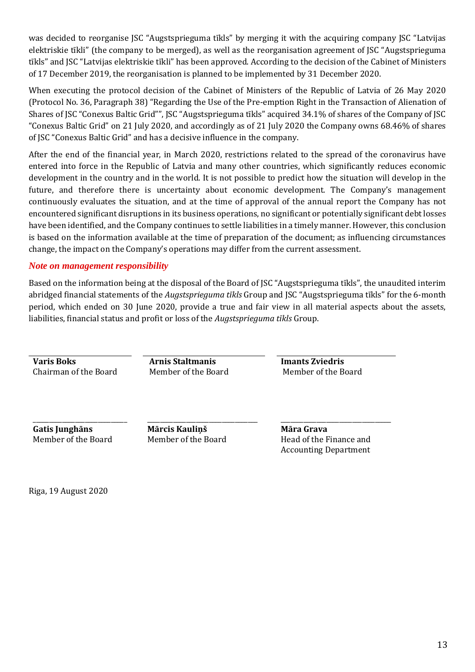was decided to reorganise JSC "Augstsprieguma tīkls" by merging it with the acquiring company JSC "Latvijas elektriskie tīkli" (the company to be merged), as well as the reorganisation agreement of JSC "Augstsprieguma tīkls" and JSC "Latvijas elektriskie tīkli" has been approved. According to the decision of the Cabinet of Ministers of 17 December 2019, the reorganisation is planned to be implemented by 31 December 2020.

When executing the protocol decision of the Cabinet of Ministers of the Republic of Latvia of 26 May 2020 (Protocol No. 36, Paragraph 38) "Regarding the Use of the Pre-emption Right in the Transaction of Alienation of Shares of JSC "Conexus Baltic Grid"", JSC "Augstsprieguma tīkls" acquired 34.1% of shares of the Company of JSC "Conexus Baltic Grid" on 21 July 2020, and accordingly as of 21 July 2020 the Company owns 68.46% of shares of JSC "Conexus Baltic Grid" and has a decisive influence in the company.

After the end of the financial year, in March 2020, restrictions related to the spread of the coronavirus have entered into force in the Republic of Latvia and many other countries, which significantly reduces economic development in the country and in the world. It is not possible to predict how the situation will develop in the future, and therefore there is uncertainty about economic development. The Company's management continuously evaluates the situation, and at the time of approval of the annual report the Company has not encountered significant disruptions in its business operations, no significant or potentially significant debt losses have been identified, and the Company continues to settle liabilities in a timely manner. However, this conclusion is based on the information available at the time of preparation of the document; as influencing circumstances change, the impact on the Company's operations may differ from the current assessment.

#### *Note on management responsibility*

Based on the information being at the disposal of the Board of JSC "Augstsprieguma tīkls", the unaudited interim abridged financial statements of the *Augstsprieguma tīkls* Group and JSC "Augstsprieguma tīkls" for the 6-month period, which ended on 30 June 2020, provide a true and fair view in all material aspects about the assets, liabilities, financial status and profit or loss of the *Augstsprieguma tīkls* Group.

**Varis Boks Arnis Staltmanis Imants Zviedris**

Chairman of the Board Member of the Board Member of the Board

**Gatis Junghāns** Member of the Board

\_\_\_\_\_\_\_\_\_\_\_\_\_\_\_\_\_\_\_\_\_\_\_\_\_\_\_\_\_

**Mārcis Kauliņš** Member of the Board

\_\_\_\_\_\_\_\_\_\_\_\_\_\_\_\_\_\_\_\_\_\_\_\_\_\_\_\_\_\_\_\_\_\_

**Māra Grava** Head of the Finance and Accounting Department

\_\_\_\_\_\_\_\_\_\_\_\_\_\_\_\_\_\_\_\_\_\_\_\_\_\_\_\_\_\_\_\_\_\_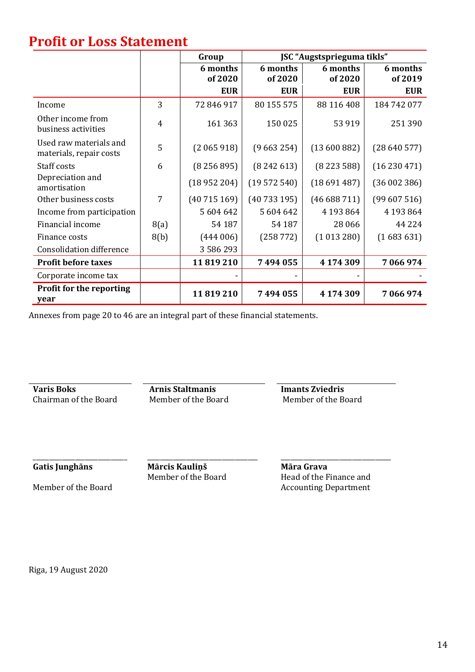# **Profit or Loss Statement**

|                                                   |      | Group               | JSC "Augstsprieguma tīkls" |                     |                     |
|---------------------------------------------------|------|---------------------|----------------------------|---------------------|---------------------|
|                                                   |      | 6 months<br>of 2020 | 6 months<br>of 2020        | 6 months<br>of 2020 | 6 months<br>of 2019 |
|                                                   |      | <b>EUR</b>          | <b>EUR</b>                 | <b>EUR</b>          | <b>EUR</b>          |
| Income                                            | 3    | 72 846 917          | 80 155 575                 | 88 116 408          | 184 742 077         |
| Other income from<br>business activities          | 4    | 161 363             | 150 025                    | 53 919              | 251390              |
| Used raw materials and<br>materials, repair costs | 5    | (2065918)           | (9663254)                  | (13600882)          | (28640577)          |
| Staff costs                                       | 6    | (8256895)           | (8242613)                  | (8223588)           | (16230471)          |
| Depreciation and<br>amortisation                  |      | (18952204)          | (19572540)                 | (18691487)          | (36002386)          |
| Other business costs                              | 7    | (40715169)          | (40733195)                 | (46688711)          | (99607516)          |
| Income from participation                         |      | 5 604 642           | 5 604 642                  | 4 193 8 64          | 4 193 8 64          |
| Financial income                                  | 8(a) | 54 187              | 54 187                     | 28 06 6             | 44 2 2 4            |
| Finance costs                                     | 8(b) | (444006)            | (258772)                   | (1013280)           | (1683631)           |
| <b>Consolidation difference</b>                   |      | 3 5 8 6 2 9 3       |                            |                     |                     |
| <b>Profit before taxes</b>                        |      | 11819210            | 7494055                    | 4 174 309           | 7 066 974           |
| Corporate income tax                              |      |                     |                            |                     |                     |
| <b>Profit for the reporting</b><br>year           |      | 11819210            | 7494055                    | 4 174 309           | 7 066 974           |

Annexes from page 20 to 46 are an integral part of these financial statements.

**Varis Boks**<br> **Arnis Staltmanis**<br> **Chairman of the Board**<br> **Member of the Board**<br> **Arnis Staltmanis**<br> **Member of the Board**<br> **Member of the Board** Chairman of the Board

**Gatis Junghāns**

**Mārcis Kauliņš** Member of the Board

\_\_\_\_\_\_\_\_\_\_\_\_\_\_\_\_\_\_\_\_\_\_\_\_\_\_\_\_\_\_\_\_\_\_

\_\_\_\_\_\_\_\_\_\_\_\_\_\_\_\_\_\_\_\_\_\_\_\_\_\_\_\_\_\_\_\_\_\_ **Māra Grava** Head of the Finance and Accounting Department

Member of the Board

\_\_\_\_\_\_\_\_\_\_\_\_\_\_\_\_\_\_\_\_\_\_\_\_\_\_\_\_\_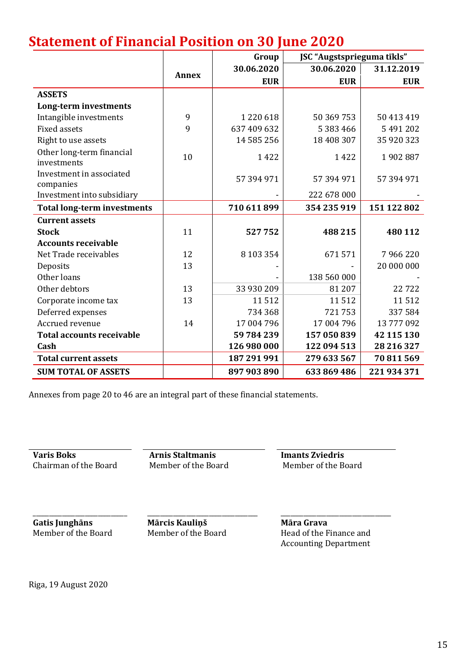# **Statement of Financial Position on 30 June 2020**

|                                          |              | Group       | JSC "Augstsprieguma tīkls" |             |
|------------------------------------------|--------------|-------------|----------------------------|-------------|
|                                          | <b>Annex</b> | 30.06.2020  | 30.06.2020                 | 31.12.2019  |
|                                          |              | <b>EUR</b>  | <b>EUR</b>                 | <b>EUR</b>  |
| <b>ASSETS</b>                            |              |             |                            |             |
| Long-term investments                    |              |             |                            |             |
| Intangible investments                   | 9            | 1220618     | 50 369 753                 | 50 413 419  |
| <b>Fixed assets</b>                      | 9            | 637 409 632 | 5 383 466                  | 5491202     |
| Right to use assets                      |              | 14 585 256  | 18 408 307                 | 35 920 323  |
| Other long-term financial<br>investments | 10           | 1422        | 1422                       | 1902887     |
| Investment in associated<br>companies    |              | 57 394 971  | 57 394 971                 | 57 394 971  |
| Investment into subsidiary               |              |             | 222 678 000                |             |
| <b>Total long-term investments</b>       |              | 710 611 899 | 354 235 919                | 151 122 802 |
| <b>Current assets</b>                    |              |             |                            |             |
| <b>Stock</b>                             | 11           | 527752      | 488 215                    | 480 112     |
| <b>Accounts receivable</b>               |              |             |                            |             |
| Net Trade receivables                    | 12           | 8 103 354   | 671571                     | 7966220     |
| Deposits                                 | 13           |             |                            | 20 000 000  |
| Other loans                              |              |             | 138 560 000                |             |
| Other debtors                            | 13           | 33 930 209  | 81 207                     | 22722       |
| Corporate income tax                     | 13           | 11512       | 11512                      | 11512       |
| Deferred expenses                        |              | 734 368     | 721753                     | 337584      |
| Accrued revenue                          | 14           | 17 004 796  | 17 004 796                 | 13777092    |
| <b>Total accounts receivable</b>         |              | 59 784 239  | 157 050 839                | 42 115 130  |
| Cash                                     |              | 126 980 000 | 122 094 513                | 28 216 327  |
| <b>Total current assets</b>              |              | 187 291 991 | 279 633 567                | 70 811 569  |
| <b>SUM TOTAL OF ASSETS</b>               |              | 897 903 890 | 633 869 486                | 221 934 371 |

Annexes from page 20 to 46 are an integral part of these financial statements.

**Varis Boks Arnis Staltmanis Imants Zviedris** Chairman of the Board Member of the Board Member of the Board

**Gatis Junghāns** Member of the Board

\_\_\_\_\_\_\_\_\_\_\_\_\_\_\_\_\_\_\_\_\_\_\_\_\_\_\_\_\_

**Mārcis Kauliņš** Member of the Board

\_\_\_\_\_\_\_\_\_\_\_\_\_\_\_\_\_\_\_\_\_\_\_\_\_\_\_\_\_\_\_\_\_\_

\_\_\_\_\_\_\_\_\_\_\_\_\_\_\_\_\_\_\_\_\_\_\_\_\_\_\_\_\_\_\_\_\_\_ **Māra Grava** Head of the Finance and Accounting Department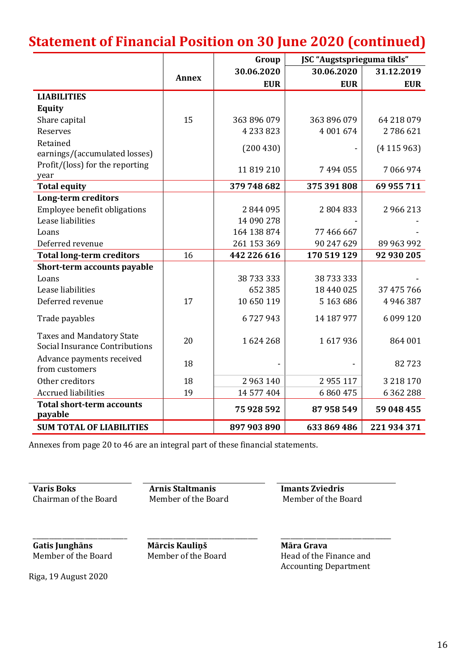# **Statement of Financial Position on 30 June 2020 (continued)**

|                                                                    |              | Group         | JSC "Augstsprieguma tīkls" |               |
|--------------------------------------------------------------------|--------------|---------------|----------------------------|---------------|
|                                                                    |              | 30.06.2020    | 30.06.2020                 | 31.12.2019    |
|                                                                    | <b>Annex</b> | <b>EUR</b>    | <b>EUR</b>                 | <b>EUR</b>    |
| <b>LIABILITIES</b>                                                 |              |               |                            |               |
| <b>Equity</b>                                                      |              |               |                            |               |
| Share capital                                                      | 15           | 363 896 079   | 363 896 079                | 64 218 079    |
| Reserves                                                           |              | 4 2 3 3 8 2 3 | 4 001 674                  | 2786621       |
| Retained                                                           |              |               |                            |               |
| earnings/(accumulated losses)                                      |              | (200430)      |                            | (4115963)     |
| Profit/(loss) for the reporting                                    |              | 11819210      | 7494055                    | 7 066 974     |
| year                                                               |              |               |                            |               |
| <b>Total equity</b>                                                |              | 379 748 682   | 375 391 808                | 69 955 711    |
| <b>Long-term creditors</b>                                         |              |               |                            |               |
| Employee benefit obligations                                       |              | 2844095       | 2804833                    | 2 966 213     |
| Lease liabilities                                                  |              | 14 090 278    |                            |               |
| Loans                                                              |              | 164 138 874   | 77 466 667                 |               |
| Deferred revenue                                                   |              | 261 153 369   | 90 247 629                 | 89 963 992    |
| <b>Total long-term creditors</b>                                   | 16           | 442 226 616   | 170 519 129                | 92 930 205    |
| Short-term accounts payable                                        |              |               |                            |               |
| Loans                                                              |              | 38 733 333    | 38 733 333                 |               |
| Lease liabilities                                                  |              | 652 385       | 18 440 025                 | 37 475 766    |
| Deferred revenue                                                   | 17           | 10 650 119    | 5 163 686                  | 4946387       |
| Trade payables                                                     |              | 6727943       | 14 187 977                 | 6 099 120     |
| <b>Taxes and Mandatory State</b><br>Social Insurance Contributions | 20           | 1624268       | 1617936                    | 864 001       |
| Advance payments received<br>from customers                        | 18           |               |                            | 82723         |
| Other creditors                                                    | 18           | 2963140       | 2955117                    | 3 2 1 8 1 7 0 |
| <b>Accrued liabilities</b>                                         | 19           | 14 577 404    | 6860475                    | 6 3 6 2 2 8 8 |
| <b>Total short-term accounts</b><br>payable                        |              | 75 928 592    | 87 958 549                 | 59 048 455    |
| <b>SUM TOTAL OF LIABILITIES</b>                                    |              | 897 903 890   | 633 869 486                | 221 934 371   |

Annexes from page 20 to 46 are an integral part of these financial statements.

Chairman of the Board Member of the Board Member of the Board

**Varis Boks Arnis Staltmanis Imants Zviedris**

**Gatis Junghāns** Member of the Board

\_\_\_\_\_\_\_\_\_\_\_\_\_\_\_\_\_\_\_\_\_\_\_\_\_\_\_\_\_

**Mārcis Kauliņš** Member of the Board

\_\_\_\_\_\_\_\_\_\_\_\_\_\_\_\_\_\_\_\_\_\_\_\_\_\_\_\_\_\_\_\_\_\_

**Māra Grava** Head of the Finance and Accounting Department

\_\_\_\_\_\_\_\_\_\_\_\_\_\_\_\_\_\_\_\_\_\_\_\_\_\_\_\_\_\_\_\_\_\_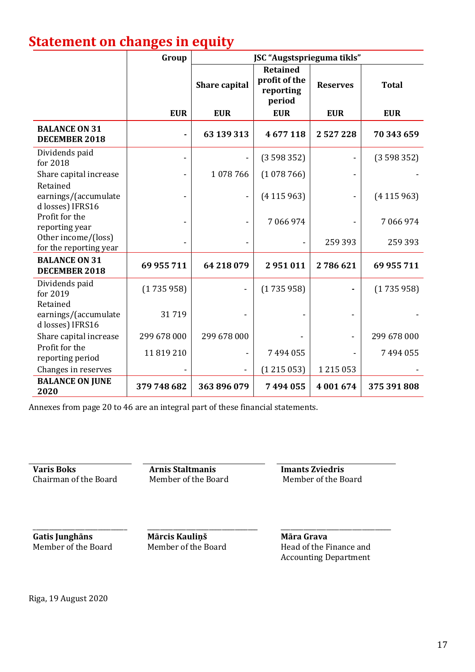# **Statement on changes in equity**

|                                                      | Group       |                      | JSC "Augstsprieguma tīkls"                              |                 |              |
|------------------------------------------------------|-------------|----------------------|---------------------------------------------------------|-----------------|--------------|
|                                                      |             | <b>Share capital</b> | <b>Retained</b><br>profit of the<br>reporting<br>period | <b>Reserves</b> | <b>Total</b> |
|                                                      | <b>EUR</b>  | <b>EUR</b>           | <b>EUR</b>                                              | <b>EUR</b>      | <b>EUR</b>   |
| <b>BALANCE ON 31</b><br>DECEMBER 2018                |             | 63 139 313           | 4677118                                                 | 2527228         | 70 343 659   |
| Dividends paid<br>for 2018                           |             |                      | (3598352)                                               |                 | (3598352)    |
| Share capital increase<br>Retained                   |             | 1078766              | (1078766)                                               |                 |              |
| earnings/(accumulate<br>d losses) IFRS16             |             |                      | (4115963)                                               |                 | (4115963)    |
| Profit for the<br>reporting year                     |             |                      | 7 066 974                                               |                 | 7 066 974    |
| Other income/(loss)<br>for the reporting year        |             |                      |                                                         | 259 393         | 259 393      |
| <b>BALANCE ON 31</b><br>DECEMBER 2018                | 69 955 711  | 64 218 079           | 2951011                                                 | 2786621         | 69 955 711   |
| Dividends paid<br>for 2019                           | (1735958)   |                      | (1735958)                                               |                 | (1735958)    |
| Retained<br>earnings/(accumulate<br>d losses) IFRS16 | 31719       |                      |                                                         |                 |              |
| Share capital increase                               | 299 678 000 | 299 678 000          |                                                         |                 | 299 678 000  |
| Profit for the<br>reporting period                   | 11819210    |                      | 7494055                                                 |                 | 7 494 055    |
| Changes in reserves                                  |             |                      | (1215053)                                               | 1215053         |              |
| <b>BALANCE ON JUNE</b><br>2020                       | 379 748 682 | 363 896 079          | 7494055                                                 | 4 001 674       | 375 391 808  |

Annexes from page 20 to 46 are an integral part of these financial statements.

**Varis Boks**<br> **Arnis Staltmanis**<br> **Chairman of the Board**<br> **Arnis Staltmanis**<br> **Arnis Staltmanis**<br> **Imants Zviedris**<br> **Member of the Board** Chairman of the Board

**Gatis Junghāns** Member of the Board

\_\_\_\_\_\_\_\_\_\_\_\_\_\_\_\_\_\_\_\_\_\_\_\_\_\_\_\_\_

**Mārcis Kauliņš** Member of the Board

\_\_\_\_\_\_\_\_\_\_\_\_\_\_\_\_\_\_\_\_\_\_\_\_\_\_\_\_\_\_\_\_\_\_

**Māra Grava** Head of the Finance and Accounting Department

\_\_\_\_\_\_\_\_\_\_\_\_\_\_\_\_\_\_\_\_\_\_\_\_\_\_\_\_\_\_\_\_\_\_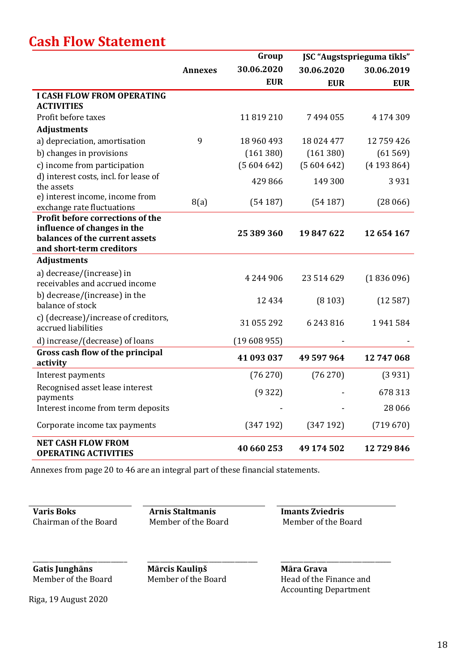# **Cash Flow Statement**

|                                                               |         | Group      |            | JSC "Augstsprieguma tīkls" |
|---------------------------------------------------------------|---------|------------|------------|----------------------------|
|                                                               | Annexes | 30.06.2020 | 30.06.2020 | 30.06.2019                 |
|                                                               |         | <b>EUR</b> | <b>EUR</b> | <b>EUR</b>                 |
| <b>I CASH FLOW FROM OPERATING</b>                             |         |            |            |                            |
| <b>ACTIVITIES</b>                                             |         |            |            |                            |
| Profit before taxes                                           |         | 11819210   | 7494055    | 4 174 309                  |
| <b>Adjustments</b>                                            |         |            |            |                            |
| a) depreciation, amortisation                                 | 9       | 18 960 493 | 18 024 477 | 12759426                   |
| b) changes in provisions                                      |         | (161 380)  | (161380)   | (61569)                    |
| c) income from participation                                  |         | (5604642)  | (5604642)  | (4193864)                  |
| d) interest costs, incl. for lease of<br>the assets           |         | 429 866    | 149 300    | 3931                       |
| e) interest income, income from<br>exchange rate fluctuations | 8(a)    | (54187)    | (54187)    | (28066)                    |
| Profit before corrections of the                              |         |            |            |                            |
| influence of changes in the                                   |         | 25 389 360 | 19847622   | 12 654 167                 |
| balances of the current assets                                |         |            |            |                            |
| and short-term creditors                                      |         |            |            |                            |
| <b>Adjustments</b>                                            |         |            |            |                            |
| a) decrease/(increase) in<br>receivables and accrued income   |         | 4 244 906  | 23 514 629 | (1836096)                  |
| b) decrease/(increase) in the<br>balance of stock             |         | 12 4 3 4   | (8103)     | (12587)                    |
| c) (decrease)/increase of creditors,<br>accrued liabilities   |         | 31 055 292 | 6243816    | 1941584                    |
| d) increase/(decrease) of loans                               |         | (19608955) |            |                            |
| Gross cash flow of the principal<br>activity                  |         | 41 093 037 | 49 597 964 | 12 747 068                 |
| Interest payments                                             |         | (76270)    | (76 270)   | (3931)                     |
| Recognised asset lease interest<br>payments                   |         | (9322)     |            | 678 313                    |
| Interest income from term deposits                            |         |            |            | 28 0 6 6                   |
| Corporate income tax payments                                 |         | (347192)   | (347192)   | (719670)                   |
| <b>NET CASH FLOW FROM</b><br><b>OPERATING ACTIVITIES</b>      |         | 40 660 253 | 49 174 502 | 12729846                   |

Annexes from page 20 to 46 are an integral part of these financial statements.

**Varis Boks Arnis Staltmanis Imants Zviedris** Chairman of the Board Member of the Board Member of the Board

\_\_\_\_\_\_\_\_\_\_\_\_\_\_\_\_\_\_\_\_\_\_\_\_\_\_\_\_\_ **Gatis Junghāns** Member of the Board

**Mārcis Kauliņš** Member of the Board

\_\_\_\_\_\_\_\_\_\_\_\_\_\_\_\_\_\_\_\_\_\_\_\_\_\_\_\_\_\_\_\_\_\_

\_\_\_\_\_\_\_\_\_\_\_\_\_\_\_\_\_\_\_\_\_\_\_\_\_\_\_\_\_\_\_\_\_\_ **Māra Grava** Head of the Finance and Accounting Department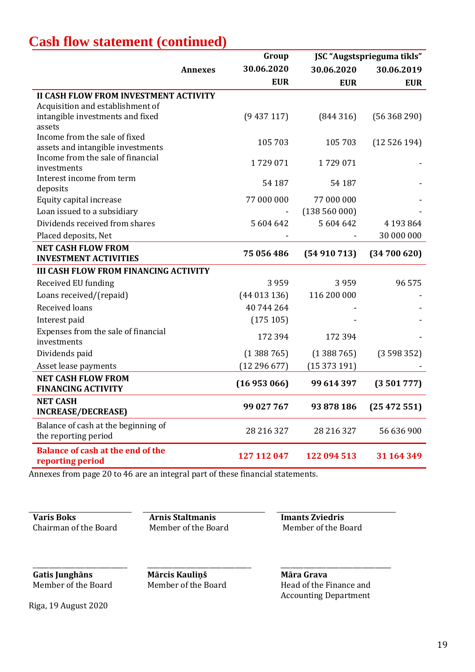| <b>Cash flow statement (continued)</b> |
|----------------------------------------|
|----------------------------------------|

|                                                                        |         | Group       |             | JSC "Augstsprieguma tīkls" |
|------------------------------------------------------------------------|---------|-------------|-------------|----------------------------|
|                                                                        | Annexes | 30.06.2020  | 30.06.2020  | 30.06.2019                 |
|                                                                        |         | <b>EUR</b>  | <b>EUR</b>  | <b>EUR</b>                 |
| <b>II CASH FLOW FROM INVESTMENT ACTIVITY</b>                           |         |             |             |                            |
| Acquisition and establishment of                                       |         |             |             |                            |
| intangible investments and fixed                                       |         | (9437117)   | (844316)    | (56368290)                 |
| assets                                                                 |         |             |             |                            |
| Income from the sale of fixed                                          |         | 105 703     | 105 703     | (12526194)                 |
| assets and intangible investments<br>Income from the sale of financial |         |             |             |                            |
| investments                                                            |         | 1729071     | 1729071     |                            |
| Interest income from term                                              |         |             |             |                            |
| deposits                                                               |         | 54 187      | 54 187      |                            |
| Equity capital increase                                                |         | 77 000 000  | 77 000 000  |                            |
| Loan issued to a subsidiary                                            |         |             | (138560000) |                            |
| Dividends received from shares                                         |         | 5604642     | 5 604 642   | 4 193 8 64                 |
| Placed deposits, Net                                                   |         |             |             | 30 000 000                 |
| <b>NET CASH FLOW FROM</b>                                              |         | 75 056 486  | (54910713)  | (34700620)                 |
| <b>INVESTMENT ACTIVITIES</b>                                           |         |             |             |                            |
| <b>III CASH FLOW FROM FINANCING ACTIVITY</b>                           |         |             |             |                            |
| Received EU funding                                                    |         | 3959        | 3959        | 96 575                     |
| Loans received/(repaid)                                                |         | (44013136)  | 116 200 000 |                            |
| <b>Received loans</b>                                                  |         | 40 744 264  |             |                            |
| Interest paid                                                          |         | (175105)    |             |                            |
| Expenses from the sale of financial                                    |         | 172 394     | 172 394     |                            |
| investments                                                            |         |             |             |                            |
| Dividends paid                                                         |         | (1388765)   | (1388765)   | (3598352)                  |
| Asset lease payments                                                   |         | (12296677)  | (15373191)  |                            |
| <b>NET CASH FLOW FROM</b>                                              |         | (16953066)  | 99 614 397  | (3501777)                  |
| <b>FINANCING ACTIVITY</b>                                              |         |             |             |                            |
| <b>NET CASH</b>                                                        |         | 99 027 767  | 93 878 186  | (25472551)                 |
| <b>INCREASE/DECREASE)</b>                                              |         |             |             |                            |
| Balance of cash at the beginning of                                    |         | 28 216 327  | 28 216 327  | 56 636 900                 |
| the reporting period                                                   |         |             |             |                            |
| <b>Balance of cash at the end of the</b>                               |         | 127 112 047 | 122 094 513 | 31 164 349                 |
| reporting period                                                       |         |             |             |                            |

Annexes from page 20 to 46 are an integral part of these financial statements.

Chairman of the Board

**Varis Boks**<br> **Arnis Staltmanis**<br> **Chairman of the Board**<br> **Arnis Staltmanis**<br> **Arnis Staltmanis**<br> **Chairman of the Board**<br> **Alternative Member of the Board** 

\_\_\_\_\_\_\_\_\_\_\_\_\_\_\_\_\_\_\_\_\_\_\_\_\_\_\_\_\_ **Gatis Junghāns** Member of the Board

\_\_\_\_\_\_\_\_\_\_\_\_\_\_\_\_\_\_\_\_\_\_\_\_\_\_\_\_\_\_\_\_ **Mārcis Kauliņš** Member of the Board

**Māra Grava** Head of the Finance and Accounting Department

\_\_\_\_\_\_\_\_\_\_\_\_\_\_\_\_\_\_\_\_\_\_\_\_\_\_\_\_\_\_\_\_\_\_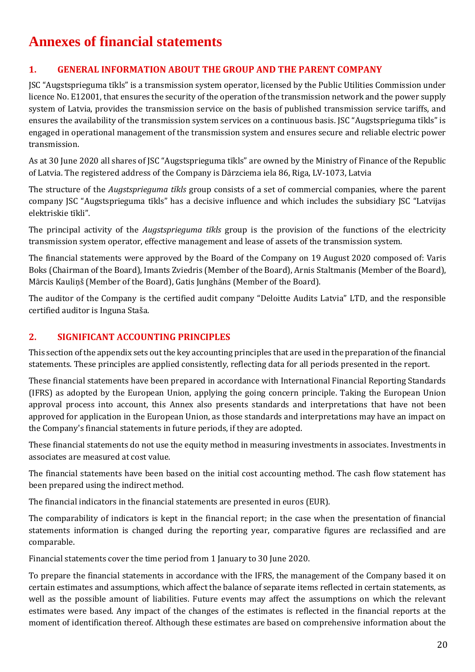# **Annexes of financial statements**

# **1. GENERAL INFORMATION ABOUT THE GROUP AND THE PARENT COMPANY**

JSC "Augstsprieguma tīkls" is a transmission system operator, licensed by the Public Utilities Commission under licence No. E12001, that ensures the security of the operation of the transmission network and the power supply system of Latvia, provides the transmission service on the basis of published transmission service tariffs, and ensures the availability of the transmission system services on a continuous basis. JSC "Augstsprieguma tīkls" is engaged in operational management of the transmission system and ensures secure and reliable electric power transmission.

As at 30 June 2020 all shares of JSC "Augstsprieguma tīkls" are owned by the Ministry of Finance of the Republic of Latvia. The registered address of the Company is Dārzciema iela 86, Riga, LV-1073, Latvia

The structure of the *Augstsprieguma tīkls* group consists of a set of commercial companies, where the parent company JSC "Augstsprieguma tīkls" has a decisive influence and which includes the subsidiary JSC "Latvijas elektriskie tīkli".

The principal activity of the *Augstsprieguma tīkls* group is the provision of the functions of the electricity transmission system operator, effective management and lease of assets of the transmission system.

The financial statements were approved by the Board of the Company on 19 August 2020 composed of: Varis Boks (Chairman of the Board), Imants Zviedris (Member of the Board), Arnis Staltmanis (Member of the Board), Mārcis Kauliņš (Member of the Board), Gatis Junghāns (Member of the Board).

The auditor of the Company is the certified audit company "Deloitte Audits Latvia" LTD, and the responsible certified auditor is Inguna Staša.

## **2. SIGNIFICANT ACCOUNTING PRINCIPLES**

This section of the appendix sets out the key accounting principles that are used in the preparation of the financial statements. These principles are applied consistently, reflecting data for all periods presented in the report.

These financial statements have been prepared in accordance with International Financial Reporting Standards (IFRS) as adopted by the European Union, applying the going concern principle. Taking the European Union approval process into account, this Annex also presents standards and interpretations that have not been approved for application in the European Union, as those standards and interpretations may have an impact on the Company's financial statements in future periods, if they are adopted.

These financial statements do not use the equity method in measuring investments in associates. Investments in associates are measured at cost value.

The financial statements have been based on the initial cost accounting method. The cash flow statement has been prepared using the indirect method.

The financial indicators in the financial statements are presented in euros (EUR).

The comparability of indicators is kept in the financial report; in the case when the presentation of financial statements information is changed during the reporting year, comparative figures are reclassified and are comparable.

Financial statements cover the time period from 1 January to 30 June 2020.

To prepare the financial statements in accordance with the IFRS, the management of the Company based it on certain estimates and assumptions, which affect the balance of separate items reflected in certain statements, as well as the possible amount of liabilities. Future events may affect the assumptions on which the relevant estimates were based. Any impact of the changes of the estimates is reflected in the financial reports at the moment of identification thereof. Although these estimates are based on comprehensive information about the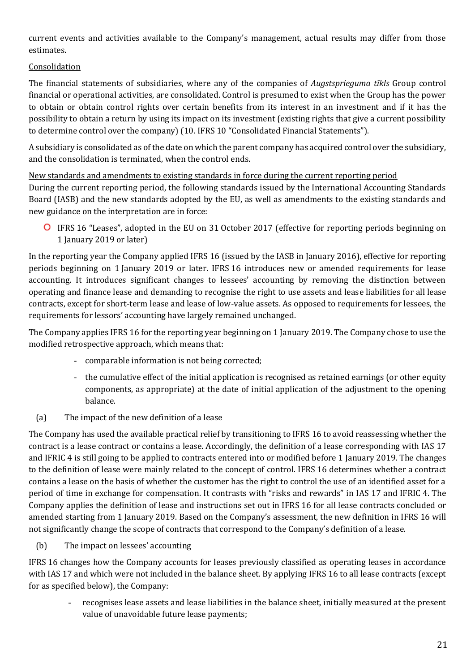current events and activities available to the Company's management, actual results may differ from those estimates.

# Consolidation

The financial statements of subsidiaries, where any of the companies of *Augstsprieguma tīkls* Group control financial or operational activities, are consolidated. Control is presumed to exist when the Group has the power to obtain or obtain control rights over certain benefits from its interest in an investment and if it has the possibility to obtain a return by using its impact on its investment (existing rights that give a current possibility to determine control over the company) (10. IFRS 10 "Consolidated Financial Statements").

A subsidiary is consolidated as of the date on which the parent company has acquired control over the subsidiary, and the consolidation is terminated, when the control ends.

#### New standards and amendments to existing standards in force during the current reporting period

During the current reporting period, the following standards issued by the International Accounting Standards Board (IASB) and the new standards adopted by the EU, as well as amendments to the existing standards and new guidance on the interpretation are in force:

IFRS 16 "Leases", adopted in the EU on 31 October 2017 (effective for reporting periods beginning on 1 January 2019 or later)

In the reporting year the Company applied IFRS 16 (issued by the IASB in January 2016), effective for reporting periods beginning on 1 January 2019 or later. IFRS 16 introduces new or amended requirements for lease accounting. It introduces significant changes to lessees' accounting by removing the distinction between operating and finance lease and demanding to recognise the right to use assets and lease liabilities for all lease contracts, except for short-term lease and lease of low-value assets. As opposed to requirements for lessees, the requirements for lessors' accounting have largely remained unchanged.

The Company applies IFRS 16 for the reporting year beginning on 1 January 2019. The Company chose to use the modified retrospective approach, which means that:

- comparable information is not being corrected;
- the cumulative effect of the initial application is recognised as retained earnings (or other equity components, as appropriate) at the date of initial application of the adjustment to the opening balance.
- (a) The impact of the new definition of a lease

The Company has used the available practical relief by transitioning to IFRS 16 to avoid reassessing whether the contract is a lease contract or contains a lease. Accordingly, the definition of a lease corresponding with IAS 17 and IFRIC 4 is still going to be applied to contracts entered into or modified before 1 January 2019. The changes to the definition of lease were mainly related to the concept of control. IFRS 16 determines whether a contract contains a lease on the basis of whether the customer has the right to control the use of an identified asset for a period of time in exchange for compensation. It contrasts with "risks and rewards" in IAS 17 and IFRIC 4. The Company applies the definition of lease and instructions set out in IFRS 16 for all lease contracts concluded or amended starting from 1 January 2019. Based on the Company's assessment, the new definition in IFRS 16 will not significantly change the scope of contracts that correspond to the Company's definition of a lease.

(b) The impact on lessees' accounting

IFRS 16 changes how the Company accounts for leases previously classified as operating leases in accordance with IAS 17 and which were not included in the balance sheet. By applying IFRS 16 to all lease contracts (except for as specified below), the Company:

- recognises lease assets and lease liabilities in the balance sheet, initially measured at the present value of unavoidable future lease payments;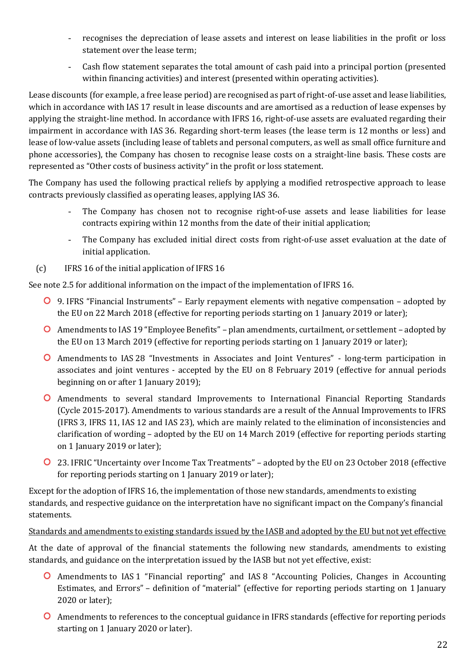- recognises the depreciation of lease assets and interest on lease liabilities in the profit or loss statement over the lease term;
- Cash flow statement separates the total amount of cash paid into a principal portion (presented within financing activities) and interest (presented within operating activities).

Lease discounts (for example, a free lease period) are recognised as part of right-of-use asset and lease liabilities, which in accordance with IAS 17 result in lease discounts and are amortised as a reduction of lease expenses by applying the straight-line method. In accordance with IFRS 16, right-of-use assets are evaluated regarding their impairment in accordance with IAS 36. Regarding short-term leases (the lease term is 12 months or less) and lease of low-value assets (including lease of tablets and personal computers, as well as small office furniture and phone accessories), the Company has chosen to recognise lease costs on a straight-line basis. These costs are represented as "Other costs of business activity" in the profit or loss statement.

The Company has used the following practical reliefs by applying a modified retrospective approach to lease contracts previously classified as operating leases, applying IAS 36.

- The Company has chosen not to recognise right-of-use assets and lease liabilities for lease contracts expiring within 12 months from the date of their initial application;
- The Company has excluded initial direct costs from right-of-use asset evaluation at the date of initial application.
- (c) IFRS 16 of the initial application of IFRS 16

See note 2.5 for additional information on the impact of the implementation of IFRS 16.

- 9. IFRS "Financial Instruments" Early repayment elements with negative compensation adopted by the EU on 22 March 2018 (effective for reporting periods starting on 1 January 2019 or later);
- Amendments to IAS 19 "Employee Benefits" plan amendments, curtailment, or settlement adopted by the EU on 13 March 2019 (effective for reporting periods starting on 1 January 2019 or later);
- Amendments to IAS 28 "Investments in Associates and Joint Ventures" long-term participation in associates and joint ventures - accepted by the EU on 8 February 2019 (effective for annual periods beginning on or after 1 January 2019);
- Amendments to several standard Improvements to International Financial Reporting Standards (Cycle 2015-2017). Amendments to various standards are a result of the Annual Improvements to IFRS (IFRS 3, IFRS 11, IAS 12 and IAS 23), which are mainly related to the elimination of inconsistencies and clarification of wording – adopted by the EU on 14 March 2019 (effective for reporting periods starting on 1 January 2019 or later);
- 23. IFRIC "Uncertainty over Income Tax Treatments" adopted by the EU on 23 October 2018 (effective for reporting periods starting on 1 January 2019 or later);

Except for the adoption of IFRS 16, the implementation of those new standards, amendments to existing standards, and respective guidance on the interpretation have no significant impact on the Company's financial statements.

#### Standards and amendments to existing standards issued by the IASB and adopted by the EU but not yet effective

At the date of approval of the financial statements the following new standards, amendments to existing standards, and guidance on the interpretation issued by the IASB but not yet effective, exist:

- Amendments to IAS 1 "Financial reporting" and IAS 8 "Accounting Policies, Changes in Accounting Estimates, and Errors" – definition of "material" (effective for reporting periods starting on 1 January 2020 or later);
- Amendments to references to the conceptual guidance in IFRS standards (effective for reporting periods starting on 1 January 2020 or later).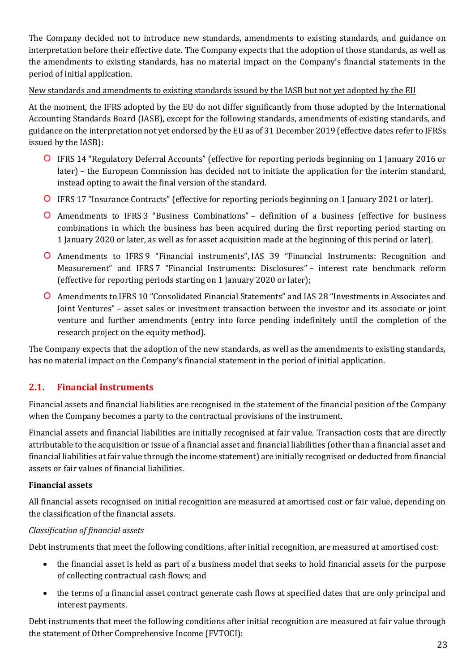The Company decided not to introduce new standards, amendments to existing standards, and guidance on interpretation before their effective date. The Company expects that the adoption of those standards, as well as the amendments to existing standards, has no material impact on the Company's financial statements in the period of initial application.

#### New standards and amendments to existing standards issued by the IASB but not yet adopted by the EU

At the moment, the IFRS adopted by the EU do not differ significantly from those adopted by the International Accounting Standards Board (IASB), except for the following standards, amendments of existing standards, and guidance on the interpretation not yet endorsed by the EU as of 31 December 2019 (effective dates refer to IFRSs issued by the IASB):

- IFRS 14 "Regulatory Deferral Accounts" (effective for reporting periods beginning on 1 January 2016 or later) – the European Commission has decided not to initiate the application for the interim standard, instead opting to await the final version of the standard.
- IFRS 17 "Insurance Contracts" (effective for reporting periods beginning on 1 January 2021 or later).
- Amendments to IFRS 3 "Business Combinations" definition of a business (effective for business combinations in which the business has been acquired during the first reporting period starting on 1 January 2020 or later, as well as for asset acquisition made at the beginning of this period or later).
- Amendments to IFRS 9 "Financial instruments", IAS 39 "Financial Instruments: Recognition and Measurement" and IFRS 7 "Financial Instruments: Disclosures" – interest rate benchmark reform (effective for reporting periods starting on 1 January 2020 or later);
- Amendments to IFRS 10 "Consolidated Financial Statements" and IAS 28 "Investments in Associates and Joint Ventures" – asset sales or investment transaction between the investor and its associate or joint venture and further amendments (entry into force pending indefinitely until the completion of the research project on the equity method).

The Company expects that the adoption of the new standards, as well as the amendments to existing standards, has no material impact on the Company's financial statement in the period of initial application.

# **2.1. Financial instruments**

Financial assets and financial liabilities are recognised in the statement of the financial position of the Company when the Company becomes a party to the contractual provisions of the instrument.

Financial assets and financial liabilities are initially recognised at fair value. Transaction costs that are directly attributable to the acquisition or issue of a financial asset and financial liabilities (other than a financial asset and financial liabilities at fair value through the income statement) are initially recognised or deducted from financial assets or fair values of financial liabilities.

#### **Financial assets**

All financial assets recognised on initial recognition are measured at amortised cost or fair value, depending on the classification of the financial assets.

#### *Classification of financial assets*

Debt instruments that meet the following conditions, after initial recognition, are measured at amortised cost:

- the financial asset is held as part of a business model that seeks to hold financial assets for the purpose of collecting contractual cash flows; and
- the terms of a financial asset contract generate cash flows at specified dates that are only principal and interest payments.

Debt instruments that meet the following conditions after initial recognition are measured at fair value through the statement of Other Comprehensive Income (FVTOCI):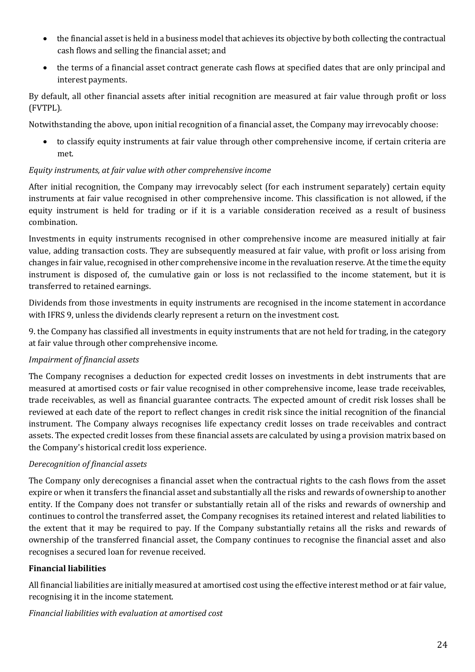- the financial asset is held in a business model that achieves its objective by both collecting the contractual cash flows and selling the financial asset; and
- the terms of a financial asset contract generate cash flows at specified dates that are only principal and interest payments.

By default, all other financial assets after initial recognition are measured at fair value through profit or loss (FVTPL).

Notwithstanding the above, upon initial recognition of a financial asset, the Company may irrevocably choose:

• to classify equity instruments at fair value through other comprehensive income, if certain criteria are met.

#### *Equity instruments, at fair value with other comprehensive income*

After initial recognition, the Company may irrevocably select (for each instrument separately) certain equity instruments at fair value recognised in other comprehensive income. This classification is not allowed, if the equity instrument is held for trading or if it is a variable consideration received as a result of business combination.

Investments in equity instruments recognised in other comprehensive income are measured initially at fair value, adding transaction costs. They are subsequently measured at fair value, with profit or loss arising from changes in fair value, recognised in other comprehensive income in the revaluation reserve. At the time the equity instrument is disposed of, the cumulative gain or loss is not reclassified to the income statement, but it is transferred to retained earnings.

Dividends from those investments in equity instruments are recognised in the income statement in accordance with IFRS 9, unless the dividends clearly represent a return on the investment cost.

9. the Company has classified all investments in equity instruments that are not held for trading, in the category at fair value through other comprehensive income.

#### *Impairment of financial assets*

The Company recognises a deduction for expected credit losses on investments in debt instruments that are measured at amortised costs or fair value recognised in other comprehensive income, lease trade receivables, trade receivables, as well as financial guarantee contracts. The expected amount of credit risk losses shall be reviewed at each date of the report to reflect changes in credit risk since the initial recognition of the financial instrument. The Company always recognises life expectancy credit losses on trade receivables and contract assets. The expected credit losses from these financial assets are calculated by using a provision matrix based on the Company's historical credit loss experience.

#### *Derecognition of financial assets*

The Company only derecognises a financial asset when the contractual rights to the cash flows from the asset expire or when it transfers the financial asset and substantially all the risks and rewards of ownership to another entity. If the Company does not transfer or substantially retain all of the risks and rewards of ownership and continues to control the transferred asset, the Company recognises its retained interest and related liabilities to the extent that it may be required to pay. If the Company substantially retains all the risks and rewards of ownership of the transferred financial asset, the Company continues to recognise the financial asset and also recognises a secured loan for revenue received.

#### **Financial liabilities**

All financial liabilities are initially measured at amortised cost using the effective interest method or at fair value, recognising it in the income statement.

#### *Financial liabilities with evaluation at amortised cost*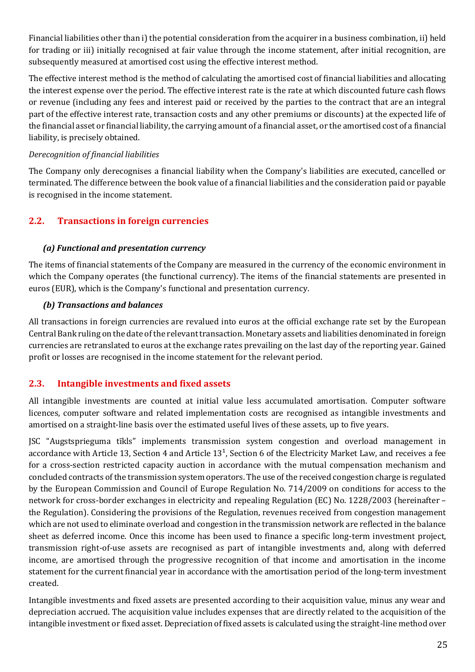Financial liabilities other than i) the potential consideration from the acquirer in a business combination, ii) held for trading or iii) initially recognised at fair value through the income statement, after initial recognition, are subsequently measured at amortised cost using the effective interest method.

The effective interest method is the method of calculating the amortised cost of financial liabilities and allocating the interest expense over the period. The effective interest rate is the rate at which discounted future cash flows or revenue (including any fees and interest paid or received by the parties to the contract that are an integral part of the effective interest rate, transaction costs and any other premiums or discounts) at the expected life of the financial asset or financial liability, the carrying amount of a financial asset, or the amortised cost of a financial liability, is precisely obtained.

#### *Derecognition of financial liabilities*

The Company only derecognises a financial liability when the Company's liabilities are executed, cancelled or terminated. The difference between the book value of a financial liabilities and the consideration paid or payable is recognised in the income statement.

# **2.2. Transactions in foreign currencies**

#### *(a) Functional and presentation currency*

The items of financial statements of the Company are measured in the currency of the economic environment in which the Company operates (the functional currency). The items of the financial statements are presented in euros (EUR), which is the Company's functional and presentation currency.

#### *(b) Transactions and balances*

All transactions in foreign currencies are revalued into euros at the official exchange rate set by the European Central Bank ruling on the date of the relevant transaction. Monetary assets and liabilities denominated in foreign currencies are retranslated to euros at the exchange rates prevailing on the last day of the reporting year. Gained profit or losses are recognised in the income statement for the relevant period.

#### **2.3. Intangible investments and fixed assets**

All intangible investments are counted at initial value less accumulated amortisation. Computer software licences, computer software and related implementation costs are recognised as intangible investments and amortised on a straight-line basis over the estimated useful lives of these assets, up to five years.

JSC "Augstsprieguma tīkls" implements transmission system congestion and overload management in accordance with Article 13, Section 4 and Article 13<sup>1</sup>, Section 6 of the Electricity Market Law, and receives a fee for a cross-section restricted capacity auction in accordance with the mutual compensation mechanism and concluded contracts of the transmission system operators. The use of the received congestion charge is regulated by the European Commission and Council of Europe Regulation No. 714/2009 on conditions for access to the network for cross-border exchanges in electricity and repealing Regulation (EC) No. 1228/2003 (hereinafter – the Regulation). Considering the provisions of the Regulation, revenues received from congestion management which are not used to eliminate overload and congestion in the transmission network are reflected in the balance sheet as deferred income. Once this income has been used to finance a specific long-term investment project, transmission right-of-use assets are recognised as part of intangible investments and, along with deferred income, are amortised through the progressive recognition of that income and amortisation in the income statement for the current financial year in accordance with the amortisation period of the long-term investment created.

Intangible investments and fixed assets are presented according to their acquisition value, minus any wear and depreciation accrued. The acquisition value includes expenses that are directly related to the acquisition of the intangible investment or fixed asset. Depreciation of fixed assets is calculated using the straight-line method over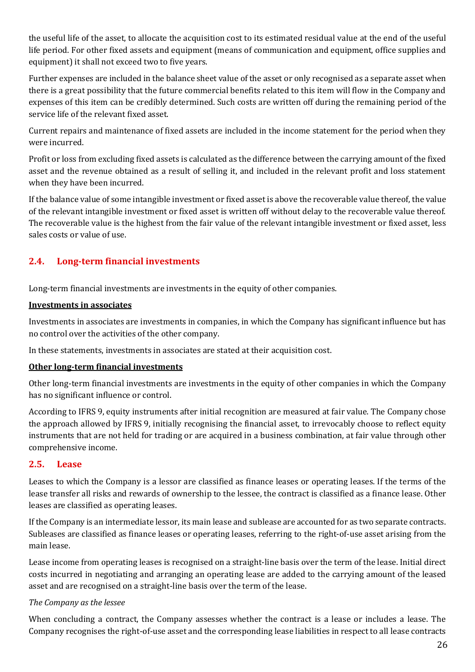the useful life of the asset, to allocate the acquisition cost to its estimated residual value at the end of the useful life period. For other fixed assets and equipment (means of communication and equipment, office supplies and equipment) it shall not exceed two to five years.

Further expenses are included in the balance sheet value of the asset or only recognised as a separate asset when there is a great possibility that the future commercial benefits related to this item will flow in the Company and expenses of this item can be credibly determined. Such costs are written off during the remaining period of the service life of the relevant fixed asset.

Current repairs and maintenance of fixed assets are included in the income statement for the period when they were incurred.

Profit or loss from excluding fixed assets is calculated as the difference between the carrying amount of the fixed asset and the revenue obtained as a result of selling it, and included in the relevant profit and loss statement when they have been incurred.

If the balance value of some intangible investment or fixed asset is above the recoverable value thereof, the value of the relevant intangible investment or fixed asset is written off without delay to the recoverable value thereof. The recoverable value is the highest from the fair value of the relevant intangible investment or fixed asset, less sales costs or value of use.

# **2.4. Long-term financial investments**

Long-term financial investments are investments in the equity of other companies.

#### **Investments in associates**

Investments in associates are investments in companies, in which the Company has significant influence but has no control over the activities of the other company.

In these statements, investments in associates are stated at their acquisition cost.

#### **Other long-term financial investments**

Other long-term financial investments are investments in the equity of other companies in which the Company has no significant influence or control.

According to IFRS 9, equity instruments after initial recognition are measured at fair value. The Company chose the approach allowed by IFRS 9, initially recognising the financial asset, to irrevocably choose to reflect equity instruments that are not held for trading or are acquired in a business combination, at fair value through other comprehensive income.

# **2.5. Lease**

Leases to which the Company is a lessor are classified as finance leases or operating leases. If the terms of the lease transfer all risks and rewards of ownership to the lessee, the contract is classified as a finance lease. Other leases are classified as operating leases.

If the Company is an intermediate lessor, its main lease and sublease are accounted for as two separate contracts. Subleases are classified as finance leases or operating leases, referring to the right-of-use asset arising from the main lease.

Lease income from operating leases is recognised on a straight-line basis over the term of the lease. Initial direct costs incurred in negotiating and arranging an operating lease are added to the carrying amount of the leased asset and are recognised on a straight-line basis over the term of the lease.

#### *The Company as the lessee*

When concluding a contract, the Company assesses whether the contract is a lease or includes a lease. The Company recognises the right-of-use asset and the corresponding lease liabilities in respect to all lease contracts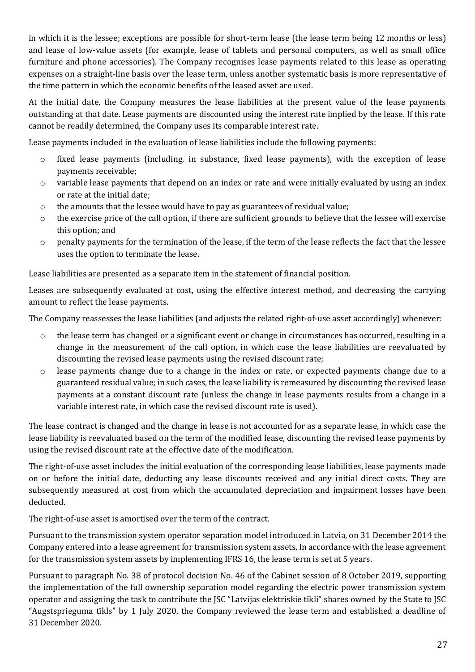in which it is the lessee; exceptions are possible for short-term lease (the lease term being 12 months or less) and lease of low-value assets (for example, lease of tablets and personal computers, as well as small office furniture and phone accessories). The Company recognises lease payments related to this lease as operating expenses on a straight-line basis over the lease term, unless another systematic basis is more representative of the time pattern in which the economic benefits of the leased asset are used.

At the initial date, the Company measures the lease liabilities at the present value of the lease payments outstanding at that date. Lease payments are discounted using the interest rate implied by the lease. If this rate cannot be readily determined, the Company uses its comparable interest rate.

Lease payments included in the evaluation of lease liabilities include the following payments:

- o fixed lease payments (including, in substance, fixed lease payments), with the exception of lease payments receivable;
- o variable lease payments that depend on an index or rate and were initially evaluated by using an index or rate at the initial date;
- o the amounts that the lessee would have to pay as guarantees of residual value;
- $\circ$  the exercise price of the call option, if there are sufficient grounds to believe that the lessee will exercise this option; and
- $\circ$  penalty payments for the termination of the lease, if the term of the lease reflects the fact that the lessee uses the option to terminate the lease.

Lease liabilities are presented as a separate item in the statement of financial position.

Leases are subsequently evaluated at cost, using the effective interest method, and decreasing the carrying amount to reflect the lease payments.

The Company reassesses the lease liabilities (and adjusts the related right-of-use asset accordingly) whenever:

- o the lease term has changed or a significant event or change in circumstances has occurred, resulting in a change in the measurement of the call option, in which case the lease liabilities are reevaluated by discounting the revised lease payments using the revised discount rate;
- o lease payments change due to a change in the index or rate, or expected payments change due to a guaranteed residual value; in such cases, the lease liability is remeasured by discounting the revised lease payments at a constant discount rate (unless the change in lease payments results from a change in a variable interest rate, in which case the revised discount rate is used).

The lease contract is changed and the change in lease is not accounted for as a separate lease, in which case the lease liability is reevaluated based on the term of the modified lease, discounting the revised lease payments by using the revised discount rate at the effective date of the modification.

The right-of-use asset includes the initial evaluation of the corresponding lease liabilities, lease payments made on or before the initial date, deducting any lease discounts received and any initial direct costs. They are subsequently measured at cost from which the accumulated depreciation and impairment losses have been deducted.

The right-of-use asset is amortised over the term of the contract.

Pursuant to the transmission system operator separation model introduced in Latvia, on 31 December 2014 the Company entered into a lease agreement for transmission system assets. In accordance with the lease agreement for the transmission system assets by implementing IFRS 16, the lease term is set at 5 years.

Pursuant to paragraph No. 38 of protocol decision No. 46 of the Cabinet session of 8 October 2019, supporting the implementation of the full ownership separation model regarding the electric power transmission system operator and assigning the task to contribute the JSC "Latvijas elektriskie tīkli" shares owned by the State to JSC "Augstsprieguma tīkls" by 1 July 2020, the Company reviewed the lease term and established a deadline of 31 December 2020.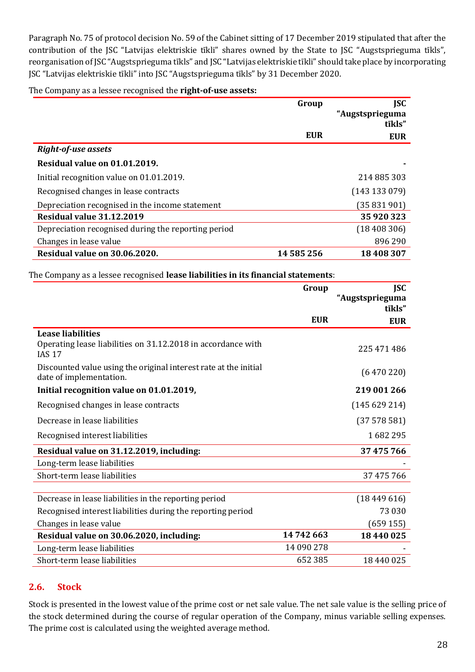Paragraph No. 75 of protocol decision No. 59 of the Cabinet sitting of 17 December 2019 stipulated that after the contribution of the JSC "Latvijas elektriskie tīkli" shares owned by the State to JSC "Augstsprieguma tīkls", reorganisation of JSC "Augstsprieguma tīkls" and JSC "Latvijas elektriskie tīkli" should take place by incorporating JSC "Latvijas elektriskie tīkli" into JSC "Augstsprieguma tīkls" by 31 December 2020.

#### The Company as a lessee recognised the **right-of-use assets:**

|                                                     | Group      | <b>ISC</b>                |
|-----------------------------------------------------|------------|---------------------------|
|                                                     |            | "Augstsprieguma<br>tīkls" |
|                                                     | <b>EUR</b> | <b>EUR</b>                |
| <b>Right-of-use assets</b>                          |            |                           |
| Residual value on 01.01.2019.                       |            |                           |
| Initial recognition value on 01.01.2019.            |            | 214 885 303               |
| Recognised changes in lease contracts               |            | (143133079)               |
| Depreciation recognised in the income statement     |            | (35 831 901)              |
| Residual value 31.12.2019                           |            | 35 920 323                |
| Depreciation recognised during the reporting period |            | (18408306)                |
| Changes in lease value                              |            | 896 290                   |
| Residual value on 30.06.2020.                       | 14 585 256 | 18 408 307                |

The Company as a lessee recognised **lease liabilities in its financial statements**:

|                                                                                                           | Group      | <b>JSC</b>      |
|-----------------------------------------------------------------------------------------------------------|------------|-----------------|
|                                                                                                           |            | "Augstsprieguma |
|                                                                                                           |            | tīkls"          |
|                                                                                                           | <b>EUR</b> | <b>EUR</b>      |
| <b>Lease liabilities</b><br>Operating lease liabilities on 31.12.2018 in accordance with<br><b>IAS 17</b> |            | 225 471 486     |
| Discounted value using the original interest rate at the initial<br>date of implementation.               |            | (6470220)       |
| Initial recognition value on 01.01.2019,                                                                  |            | 219 001 266     |
| Recognised changes in lease contracts                                                                     |            | (145629214)     |
| Decrease in lease liabilities                                                                             |            | (37578581)      |
| Recognised interest liabilities                                                                           |            | 1682295         |
| Residual value on 31.12.2019, including:                                                                  |            | 37 475 766      |
| Long-term lease liabilities                                                                               |            |                 |
| Short-term lease liabilities                                                                              |            | 37 475 766      |
|                                                                                                           |            |                 |
| Decrease in lease liabilities in the reporting period                                                     |            | (18449616)      |
| Recognised interest liabilities during the reporting period                                               |            | 73 030          |
| Changes in lease value                                                                                    |            | (659155)        |
| Residual value on 30.06.2020, including:                                                                  | 14742663   | 18 440 025      |
| Long-term lease liabilities                                                                               | 14 090 278 |                 |
| Short-term lease liabilities                                                                              | 652 385    | 18 440 025      |

#### **2.6. Stock**

Stock is presented in the lowest value of the prime cost or net sale value. The net sale value is the selling price of the stock determined during the course of regular operation of the Company, minus variable selling expenses. The prime cost is calculated using the weighted average method.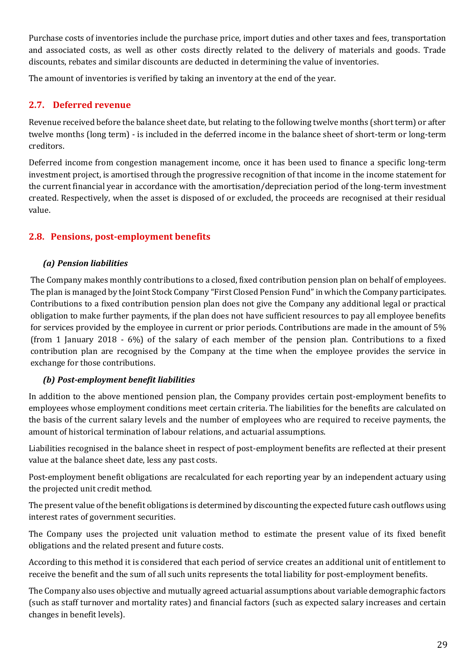Purchase costs of inventories include the purchase price, import duties and other taxes and fees, transportation and associated costs, as well as other costs directly related to the delivery of materials and goods. Trade discounts, rebates and similar discounts are deducted in determining the value of inventories.

The amount of inventories is verified by taking an inventory at the end of the year.

# **2.7. Deferred revenue**

Revenue received before the balance sheet date, but relating to the following twelve months (short term) or after twelve months (long term) - is included in the deferred income in the balance sheet of short-term or long-term creditors.

Deferred income from congestion management income, once it has been used to finance a specific long-term investment project, is amortised through the progressive recognition of that income in the income statement for the current financial year in accordance with the amortisation/depreciation period of the long-term investment created. Respectively, when the asset is disposed of or excluded, the proceeds are recognised at their residual value.

# **2.8. Pensions, post-employment benefits**

#### *(a) Pension liabilities*

The Company makes monthly contributions to a closed, fixed contribution pension plan on behalf of employees. The plan is managed by the Joint Stock Company "First Closed Pension Fund" in which the Company participates. Contributions to a fixed contribution pension plan does not give the Company any additional legal or practical obligation to make further payments, if the plan does not have sufficient resources to pay all employee benefits for services provided by the employee in current or prior periods. Contributions are made in the amount of 5% (from 1 January 2018 - 6%) of the salary of each member of the pension plan. Contributions to a fixed contribution plan are recognised by the Company at the time when the employee provides the service in exchange for those contributions.

#### *(b) Post-employment benefit liabilities*

In addition to the above mentioned pension plan, the Company provides certain post-employment benefits to employees whose employment conditions meet certain criteria. The liabilities for the benefits are calculated on the basis of the current salary levels and the number of employees who are required to receive payments, the amount of historical termination of labour relations, and actuarial assumptions.

Liabilities recognised in the balance sheet in respect of post-employment benefits are reflected at their present value at the balance sheet date, less any past costs.

Post-employment benefit obligations are recalculated for each reporting year by an independent actuary using the projected unit credit method.

The present value of the benefit obligations is determined by discounting the expected future cash outflows using interest rates of government securities.

The Company uses the projected unit valuation method to estimate the present value of its fixed benefit obligations and the related present and future costs.

According to this method it is considered that each period of service creates an additional unit of entitlement to receive the benefit and the sum of all such units represents the total liability for post-employment benefits.

The Company also uses objective and mutually agreed actuarial assumptions about variable demographic factors (such as staff turnover and mortality rates) and financial factors (such as expected salary increases and certain changes in benefit levels).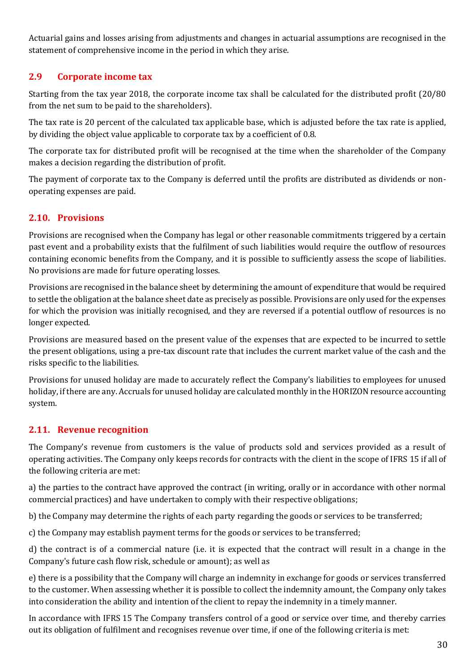Actuarial gains and losses arising from adjustments and changes in actuarial assumptions are recognised in the statement of comprehensive income in the period in which they arise.

# **2.9 Corporate income tax**

Starting from the tax year 2018, the corporate income tax shall be calculated for the distributed profit (20/80 from the net sum to be paid to the shareholders).

The tax rate is 20 percent of the calculated tax applicable base, which is adjusted before the tax rate is applied, by dividing the object value applicable to corporate tax by a coefficient of 0.8.

The corporate tax for distributed profit will be recognised at the time when the shareholder of the Company makes a decision regarding the distribution of profit.

The payment of corporate tax to the Company is deferred until the profits are distributed as dividends or nonoperating expenses are paid.

# **2.10. Provisions**

Provisions are recognised when the Company has legal or other reasonable commitments triggered by a certain past event and a probability exists that the fulfilment of such liabilities would require the outflow of resources containing economic benefits from the Company, and it is possible to sufficiently assess the scope of liabilities. No provisions are made for future operating losses.

Provisions are recognised in the balance sheet by determining the amount of expenditure that would be required to settle the obligation at the balance sheet date as precisely as possible. Provisions are only used for the expenses for which the provision was initially recognised, and they are reversed if a potential outflow of resources is no longer expected.

Provisions are measured based on the present value of the expenses that are expected to be incurred to settle the present obligations, using a pre-tax discount rate that includes the current market value of the cash and the risks specific to the liabilities.

Provisions for unused holiday are made to accurately reflect the Company's liabilities to employees for unused holiday, if there are any. Accruals for unused holiday are calculated monthly in the HORIZON resource accounting system.

#### **2.11. Revenue recognition**

The Company's revenue from customers is the value of products sold and services provided as a result of operating activities. The Company only keeps records for contracts with the client in the scope of IFRS 15 if all of the following criteria are met:

a) the parties to the contract have approved the contract (in writing, orally or in accordance with other normal commercial practices) and have undertaken to comply with their respective obligations;

b) the Company may determine the rights of each party regarding the goods or services to be transferred;

c) the Company may establish payment terms for the goods or services to be transferred;

d) the contract is of a commercial nature (i.e. it is expected that the contract will result in a change in the Company's future cash flow risk, schedule or amount); as well as

e) there is a possibility that the Company will charge an indemnity in exchange for goods or services transferred to the customer. When assessing whether it is possible to collect the indemnity amount, the Company only takes into consideration the ability and intention of the client to repay the indemnity in a timely manner.

In accordance with IFRS 15 The Company transfers control of a good or service over time, and thereby carries out its obligation of fulfilment and recognises revenue over time, if one of the following criteria is met: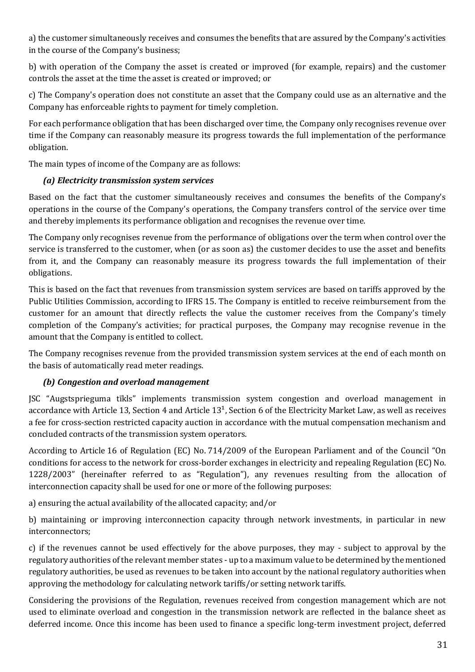a) the customer simultaneously receives and consumes the benefits that are assured by the Company's activities in the course of the Company's business;

b) with operation of the Company the asset is created or improved (for example, repairs) and the customer controls the asset at the time the asset is created or improved; or

c) The Company's operation does not constitute an asset that the Company could use as an alternative and the Company has enforceable rights to payment for timely completion.

For each performance obligation that has been discharged over time, the Company only recognises revenue over time if the Company can reasonably measure its progress towards the full implementation of the performance obligation.

The main types of income of the Company are as follows:

#### *(a) Electricity transmission system services*

Based on the fact that the customer simultaneously receives and consumes the benefits of the Company's operations in the course of the Company's operations, the Company transfers control of the service over time and thereby implements its performance obligation and recognises the revenue over time.

The Company only recognises revenue from the performance of obligations over the term when control over the service is transferred to the customer, when (or as soon as) the customer decides to use the asset and benefits from it, and the Company can reasonably measure its progress towards the full implementation of their obligations.

This is based on the fact that revenues from transmission system services are based on tariffs approved by the Public Utilities Commission, according to IFRS 15. The Company is entitled to receive reimbursement from the customer for an amount that directly reflects the value the customer receives from the Company's timely completion of the Company's activities; for practical purposes, the Company may recognise revenue in the amount that the Company is entitled to collect.

The Company recognises revenue from the provided transmission system services at the end of each month on the basis of automatically read meter readings.

#### *(b) Congestion and overload management*

JSC "Augstsprieguma tīkls" implements transmission system congestion and overload management in accordance with Article 13, Section 4 and Article  $13<sup>1</sup>$ , Section 6 of the Electricity Market Law, as well as receives a fee for cross-section restricted capacity auction in accordance with the mutual compensation mechanism and concluded contracts of the transmission system operators.

According to Article 16 of Regulation (EC) No. 714/2009 of the European Parliament and of the Council "On conditions for access to the network for cross-border exchanges in electricity and repealing Regulation (EC) No. 1228/2003" (hereinafter referred to as "Regulation"), any revenues resulting from the allocation of interconnection capacity shall be used for one or more of the following purposes:

a) ensuring the actual availability of the allocated capacity; and/or

b) maintaining or improving interconnection capacity through network investments, in particular in new interconnectors;

c) if the revenues cannot be used effectively for the above purposes, they may - subject to approval by the regulatory authorities of the relevant member states - up to a maximum value to be determined by the mentioned regulatory authorities, be used as revenues to be taken into account by the national regulatory authorities when approving the methodology for calculating network tariffs/or setting network tariffs.

Considering the provisions of the Regulation, revenues received from congestion management which are not used to eliminate overload and congestion in the transmission network are reflected in the balance sheet as deferred income. Once this income has been used to finance a specific long-term investment project, deferred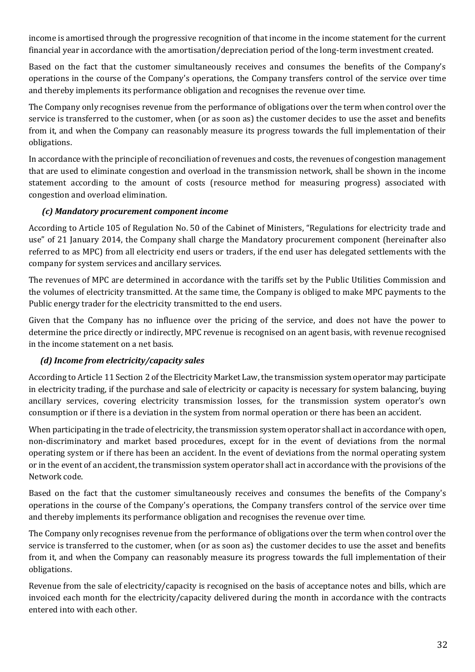income is amortised through the progressive recognition of that income in the income statement for the current financial year in accordance with the amortisation/depreciation period of the long-term investment created.

Based on the fact that the customer simultaneously receives and consumes the benefits of the Company's operations in the course of the Company's operations, the Company transfers control of the service over time and thereby implements its performance obligation and recognises the revenue over time.

The Company only recognises revenue from the performance of obligations over the term when control over the service is transferred to the customer, when (or as soon as) the customer decides to use the asset and benefits from it, and when the Company can reasonably measure its progress towards the full implementation of their obligations.

In accordance with the principle of reconciliation of revenues and costs, the revenues of congestion management that are used to eliminate congestion and overload in the transmission network, shall be shown in the income statement according to the amount of costs (resource method for measuring progress) associated with congestion and overload elimination.

#### *(c) Mandatory procurement component income*

According to Article 105 of Regulation No. 50 of the Cabinet of Ministers, "Regulations for electricity trade and use" of 21 January 2014, the Company shall charge the Mandatory procurement component (hereinafter also referred to as MPC) from all electricity end users or traders, if the end user has delegated settlements with the company for system services and ancillary services.

The revenues of MPC are determined in accordance with the tariffs set by the Public Utilities Commission and the volumes of electricity transmitted. At the same time, the Company is obliged to make MPC payments to the Public energy trader for the electricity transmitted to the end users.

Given that the Company has no influence over the pricing of the service, and does not have the power to determine the price directly or indirectly, MPC revenue is recognised on an agent basis, with revenue recognised in the income statement on a net basis.

#### *(d) Income from electricity/capacity sales*

According to Article 11 Section 2 of the Electricity Market Law, the transmission system operator may participate in electricity trading, if the purchase and sale of electricity or capacity is necessary for system balancing, buying ancillary services, covering electricity transmission losses, for the transmission system operator's own consumption or if there is a deviation in the system from normal operation or there has been an accident.

When participating in the trade of electricity, the transmission system operator shall act in accordance with open, non-discriminatory and market based procedures, except for in the event of deviations from the normal operating system or if there has been an accident. In the event of deviations from the normal operating system or in the event of an accident, the transmission system operator shall act in accordance with the provisions of the Network code.

Based on the fact that the customer simultaneously receives and consumes the benefits of the Company's operations in the course of the Company's operations, the Company transfers control of the service over time and thereby implements its performance obligation and recognises the revenue over time.

The Company only recognises revenue from the performance of obligations over the term when control over the service is transferred to the customer, when (or as soon as) the customer decides to use the asset and benefits from it, and when the Company can reasonably measure its progress towards the full implementation of their obligations.

Revenue from the sale of electricity/capacity is recognised on the basis of acceptance notes and bills, which are invoiced each month for the electricity/capacity delivered during the month in accordance with the contracts entered into with each other.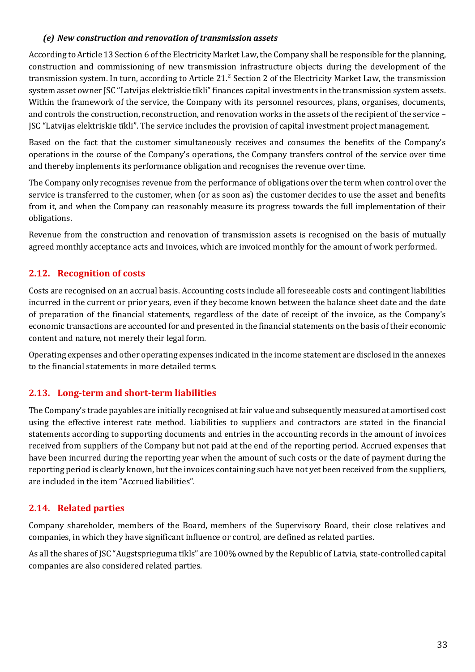#### *(e) New construction and renovation of transmission assets*

According to Article 13 Section 6 of the Electricity Market Law, the Company shall be responsible for the planning, construction and commissioning of new transmission infrastructure objects during the development of the transmission system. In turn, according to Article 21.² Section 2 of the Electricity Market Law, the transmission system asset owner JSC "Latvijas elektriskie tīkli" finances capital investments in the transmission system assets. Within the framework of the service, the Company with its personnel resources, plans, organises, documents, and controls the construction, reconstruction, and renovation works in the assets of the recipient of the service – JSC "Latvijas elektriskie tīkli". The service includes the provision of capital investment project management.

Based on the fact that the customer simultaneously receives and consumes the benefits of the Company's operations in the course of the Company's operations, the Company transfers control of the service over time and thereby implements its performance obligation and recognises the revenue over time.

The Company only recognises revenue from the performance of obligations over the term when control over the service is transferred to the customer, when (or as soon as) the customer decides to use the asset and benefits from it, and when the Company can reasonably measure its progress towards the full implementation of their obligations.

Revenue from the construction and renovation of transmission assets is recognised on the basis of mutually agreed monthly acceptance acts and invoices, which are invoiced monthly for the amount of work performed.

# **2.12. Recognition of costs**

Costs are recognised on an accrual basis. Accounting costs include all foreseeable costs and contingent liabilities incurred in the current or prior years, even if they become known between the balance sheet date and the date of preparation of the financial statements, regardless of the date of receipt of the invoice, as the Company's economic transactions are accounted for and presented in the financial statements on the basis of their economic content and nature, not merely their legal form.

Operating expenses and other operating expenses indicated in the income statement are disclosed in the annexes to the financial statements in more detailed terms.

# **2.13. Long-term and short-term liabilities**

The Company's trade payables are initially recognised at fair value and subsequently measured at amortised cost using the effective interest rate method. Liabilities to suppliers and contractors are stated in the financial statements according to supporting documents and entries in the accounting records in the amount of invoices received from suppliers of the Company but not paid at the end of the reporting period. Accrued expenses that have been incurred during the reporting year when the amount of such costs or the date of payment during the reporting period is clearly known, but the invoices containing such have not yet been received from the suppliers, are included in the item "Accrued liabilities".

# **2.14. Related parties**

Company shareholder, members of the Board, members of the Supervisory Board, their close relatives and companies, in which they have significant influence or control, are defined as related parties.

As all the shares of JSC "Augstsprieguma tīkls" are 100% owned by the Republic of Latvia, state-controlled capital companies are also considered related parties.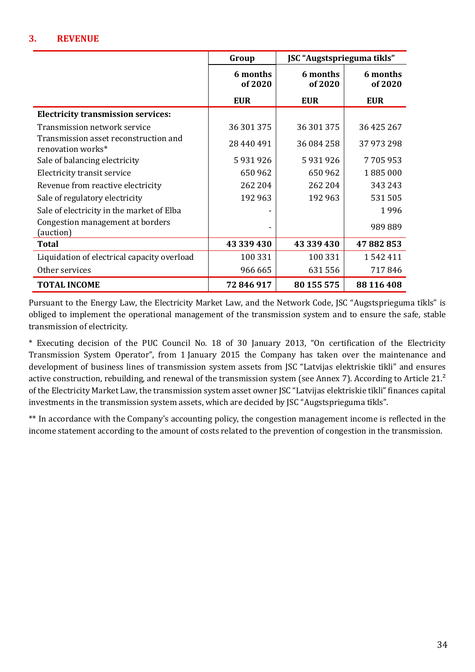#### **3. REVENUE**

|                                                            | Group               | JSC "Augstsprieguma tīkls" |                     |
|------------------------------------------------------------|---------------------|----------------------------|---------------------|
|                                                            | 6 months<br>of 2020 | 6 months<br>of 2020        | 6 months<br>of 2020 |
|                                                            | <b>EUR</b>          | <b>EUR</b>                 | <b>EUR</b>          |
| <b>Electricity transmission services:</b>                  |                     |                            |                     |
| Transmission network service                               | 36 301 375          | 36 301 375                 | 36 425 267          |
| Transmission asset reconstruction and<br>renovation works* | 28 440 491          | 36 084 258                 | 37 973 298          |
| Sale of balancing electricity                              | 5931926             | 5931926                    | 7705953             |
| Electricity transit service                                | 650 962             | 650 962                    | 1885000             |
| Revenue from reactive electricity                          | 262 204             | 262 204                    | 343 243             |
| Sale of regulatory electricity                             | 192 963             | 192 963                    | 531 505             |
| Sale of electricity in the market of Elba                  |                     |                            | 1996                |
| Congestion management at borders<br>(auction)              |                     |                            | 989889              |
| <b>Total</b>                                               | 43 339 430          | 43 339 430                 | 47882853            |
| Liquidation of electrical capacity overload                | 100 331             | 100 331                    | 1542411             |
| Other services                                             | 966 665             | 631556                     | 717846              |
| <b>TOTAL INCOME</b>                                        | 72 846 917          | 80 155 575                 | 88 116 408          |

Pursuant to the Energy Law, the Electricity Market Law, and the Network Code, JSC "Augstsprieguma tīkls" is obliged to implement the operational management of the transmission system and to ensure the safe, stable transmission of electricity.

\* Executing decision of the PUC Council No. 18 of 30 January 2013, "On certification of the Electricity Transmission System Operator", from 1 January 2015 the Company has taken over the maintenance and development of business lines of transmission system assets from JSC "Latvijas elektriskie tīkli" and ensures active construction, rebuilding, and renewal of the transmission system (see Annex 7). According to Article 21.<sup>2</sup> of the Electricity Market Law, the transmission system asset owner JSC "Latvijas elektriskie tīkli" finances capital investments in the transmission system assets, which are decided by JSC "Augstsprieguma tīkls".

\*\* In accordance with the Company's accounting policy, the congestion management income is reflected in the income statement according to the amount of costs related to the prevention of congestion in the transmission.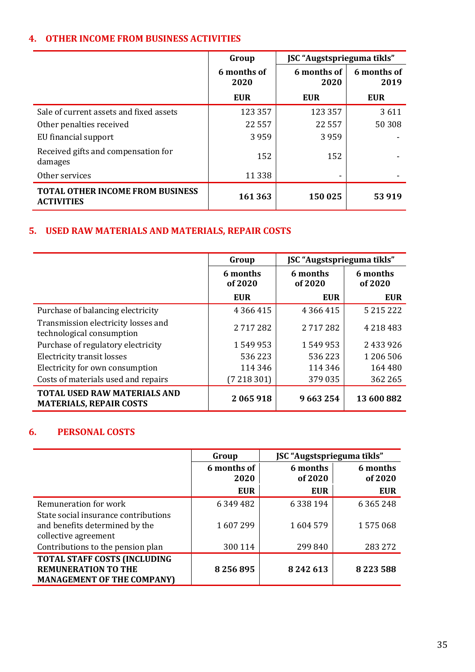# **4. OTHER INCOME FROM BUSINESS ACTIVITIES**

|                                                              | Group               | <b>JSC</b> "Augstsprieguma tīkls" |                     |
|--------------------------------------------------------------|---------------------|-----------------------------------|---------------------|
|                                                              | 6 months of<br>2020 | 6 months of<br>2020               | 6 months of<br>2019 |
|                                                              | <b>EUR</b>          | <b>EUR</b>                        | <b>EUR</b>          |
| Sale of current assets and fixed assets                      | 123 357             | 123 357                           | 3611                |
| Other penalties received                                     | 22 5 5 7            | 22 5 5 7                          | 50 308              |
| EU financial support                                         | 3959                | 3959                              |                     |
| Received gifts and compensation for<br>damages               | 152                 | 152                               |                     |
| Other services                                               | 11 3 38             |                                   |                     |
| <b>TOTAL OTHER INCOME FROM BUSINESS</b><br><b>ACTIVITIES</b> | 161 363             | 150 025                           | 53 919              |

# **5. USED RAW MATERIALS AND MATERIALS, REPAIR COSTS**

|                                                                       | JSC "Augstsprieguma tīkls"<br>Group |                     |                     |
|-----------------------------------------------------------------------|-------------------------------------|---------------------|---------------------|
|                                                                       | 6 months<br>of 2020                 | 6 months<br>of 2020 | 6 months<br>of 2020 |
|                                                                       | <b>EUR</b>                          | <b>EUR</b>          | <b>EUR</b>          |
| Purchase of balancing electricity                                     | 4 3 6 4 4 1 5                       | 4 3 6 4 4 1 5       | 5 2 1 5 2 2 2 2     |
| Transmission electricity losses and<br>technological consumption      | 2717282                             | 2717282             | 4 2 1 8 4 8 3       |
| Purchase of regulatory electricity                                    | 1549953                             | 1549953             | 2433926             |
| <b>Electricity transit losses</b>                                     | 536223                              | 536 223             | 1 206 506           |
| Electricity for own consumption                                       | 114 346                             | 114 346             | 164 480             |
| Costs of materials used and repairs                                   | (7218301)                           | 379 035             | 362 265             |
| <b>TOTAL USED RAW MATERIALS AND</b><br><b>MATERIALS, REPAIR COSTS</b> | 2065918                             | 9663254             | 13 600 882          |

#### **6. PERSONAL COSTS**

|                                                                                                        | Group               | JSC "Augstsprieguma tīkls" |                     |
|--------------------------------------------------------------------------------------------------------|---------------------|----------------------------|---------------------|
|                                                                                                        | 6 months of<br>2020 | 6 months<br>of 2020        | 6 months<br>of 2020 |
|                                                                                                        | <b>EUR</b>          | <b>EUR</b>                 | <b>EUR</b>          |
| Remuneration for work                                                                                  | 6 349 482           | 6 3 3 8 1 9 4              | 6 3 6 5 2 4 8       |
| State social insurance contributions<br>and benefits determined by the<br>collective agreement         | 1607299             | 1604579                    | 1575068             |
| Contributions to the pension plan                                                                      | 300 114             | 299 840                    | 283 272             |
| <b>TOTAL STAFF COSTS (INCLUDING</b><br><b>REMUNERATION TO THE</b><br><b>MANAGEMENT OF THE COMPANY)</b> | 8256895             | 8 24 2 6 13                | 8223588             |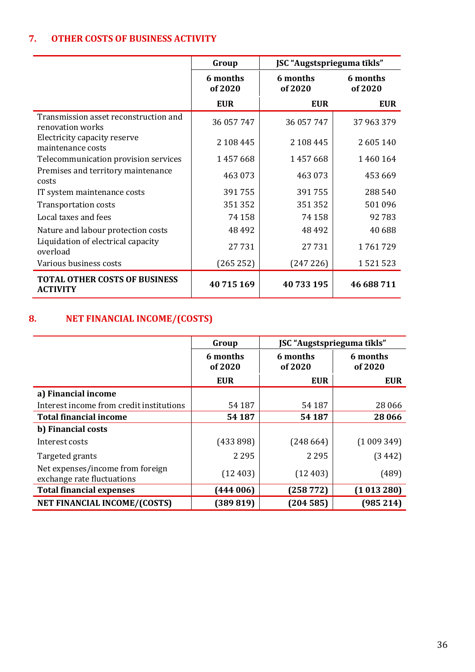# **7. OTHER COSTS OF BUSINESS ACTIVITY**

|                                                           | JSC "Augstsprieguma tīkls"<br>Group |                     |                     |
|-----------------------------------------------------------|-------------------------------------|---------------------|---------------------|
|                                                           | 6 months<br>of 2020                 | 6 months<br>of 2020 | 6 months<br>of 2020 |
|                                                           | <b>EUR</b>                          | <b>EUR</b>          | <b>EUR</b>          |
| Transmission asset reconstruction and<br>renovation works | 36 057 747                          | 36 057 747          | 37 963 379          |
| Electricity capacity reserve<br>maintenance costs         | 2 108 445                           | 2 108 445           | 2605140             |
| Telecommunication provision services                      | 1457668                             | 1457668             | 1460164             |
| Premises and territory maintenance<br>costs               | 463 073                             | 463 073             | 453 669             |
| IT system maintenance costs                               | 391755                              | 391755              | 288 540             |
| <b>Transportation costs</b>                               | 351352                              | 351352              | 501 096             |
| Local taxes and fees                                      | 74 158                              | 74 158              | 92783               |
| Nature and labour protection costs                        | 48 492                              | 48 4 92             | 40 688              |
| Liquidation of electrical capacity<br>overload            | 27731                               | 27731               | 1761729             |
| Various business costs                                    | (265 252)                           | (247 226)           | 1521523             |
| <b>TOTAL OTHER COSTS OF BUSINESS</b><br><b>ACTIVITY</b>   | 40715169                            | 40733195            | 46 688 711          |

# **8. NET FINANCIAL INCOME/(COSTS)**

|                                                                | Group               | JSC "Augstsprieguma tīkls" |                     |
|----------------------------------------------------------------|---------------------|----------------------------|---------------------|
|                                                                | 6 months<br>of 2020 | 6 months<br>of 2020        | 6 months<br>of 2020 |
|                                                                | <b>EUR</b>          | <b>EUR</b>                 | <b>EUR</b>          |
| a) Financial income                                            |                     |                            |                     |
| Interest income from credit institutions                       | 54 187              | 54 187                     | 28 06 6             |
| <b>Total financial income</b>                                  | 54 187              | 54 187                     | 28 06 6             |
| b) Financial costs                                             |                     |                            |                     |
| Interest costs                                                 | (433898)            | (248664)                   | (1009349)           |
| Targeted grants                                                | 2 2 9 5             | 2 2 9 5                    | (3442)              |
| Net expenses/income from foreign<br>exchange rate fluctuations | (12403)             | (12403)                    | (489)               |
| <b>Total financial expenses</b>                                | (444006)            | (258772)                   | (1013280)           |
| <b>NET FINANCIAL INCOME/(COSTS)</b>                            | (389819)            | (204585)                   | (985 214)           |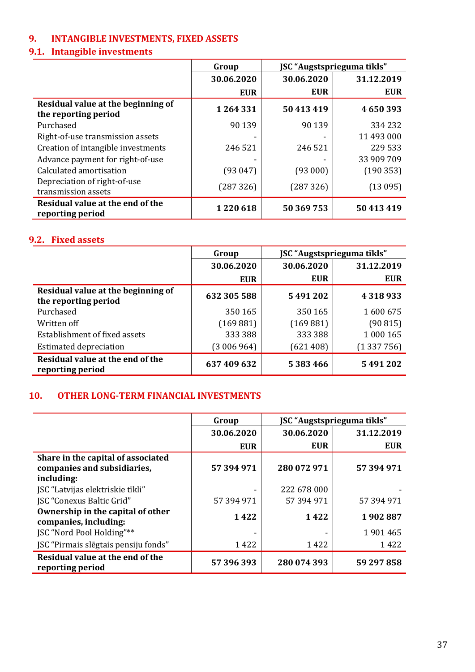# **9. INTANGIBLE INVESTMENTS, FIXED ASSETS**

# **9.1. Intangible investments**

|                                                            | Group      | JSC "Augstsprieguma tīkls" |            |
|------------------------------------------------------------|------------|----------------------------|------------|
|                                                            | 30.06.2020 | 30.06.2020                 | 31.12.2019 |
|                                                            | <b>EUR</b> | <b>EUR</b>                 | <b>EUR</b> |
| Residual value at the beginning of<br>the reporting period | 1264331    | 50 413 419                 | 4650393    |
| Purchased                                                  | 90 139     | 90 139                     | 334 232    |
| Right-of-use transmission assets                           |            |                            | 11 493 000 |
| Creation of intangible investments                         | 246 521    | 246 521                    | 229 533    |
| Advance payment for right-of-use                           |            |                            | 33 909 709 |
| Calculated amortisation                                    | (93047)    | (93000)                    | (190353)   |
| Depreciation of right-of-use<br>transmission assets        | (287 326)  | (287326)                   | (13095)    |
| Residual value at the end of the<br>reporting period       | 1220618    | 50 369 753                 | 50 413 419 |

#### **9.2. Fixed assets**

|                                                            | Group       | JSC "Augstsprieguma tīkls" |            |
|------------------------------------------------------------|-------------|----------------------------|------------|
|                                                            | 30.06.2020  | 30.06.2020                 | 31.12.2019 |
|                                                            | <b>EUR</b>  | <b>EUR</b>                 | <b>EUR</b> |
| Residual value at the beginning of<br>the reporting period | 632 305 588 | 5491202                    | 4318933    |
| Purchased                                                  | 350 165     | 350 165                    | 1600675    |
| Written off                                                | (169 881)   | (169 881)                  | (90815)    |
| Establishment of fixed assets                              | 333 388     | 333 388                    | 1 000 165  |
| <b>Estimated depreciation</b>                              | (3006964)   | (621408)                   | (1337756)  |
| Residual value at the end of the<br>reporting period       | 637 409 632 | 5 383 466                  | 5491202    |

#### **10. OTHER LONG-TERM FINANCIAL INVESTMENTS**

|                                                                                 | Group      | JSC "Augstsprieguma tīkls" |            |
|---------------------------------------------------------------------------------|------------|----------------------------|------------|
|                                                                                 | 30.06.2020 | 30.06.2020                 | 31.12.2019 |
|                                                                                 | <b>EUR</b> | <b>EUR</b>                 | <b>EUR</b> |
| Share in the capital of associated<br>companies and subsidiaries,<br>including: | 57 394 971 | 280 072 971                | 57 394 971 |
| JSC "Latvijas elektriskie tīkli"<br><b>ISC "Conexus Baltic Grid"</b>            | 57 394 971 | 222 678 000<br>57 394 971  | 57 394 971 |
| Ownership in the capital of other<br>companies, including:                      | 1422       | 1422                       | 1902887    |
| JSC "Nord Pool Holding"**                                                       |            |                            | 1901465    |
| JSC "Pirmais slēgtais pensiju fonds"                                            | 1422       | 1422                       | 1422       |
| Residual value at the end of the<br>reporting period                            | 57 396 393 | 280 074 393                | 59 297 858 |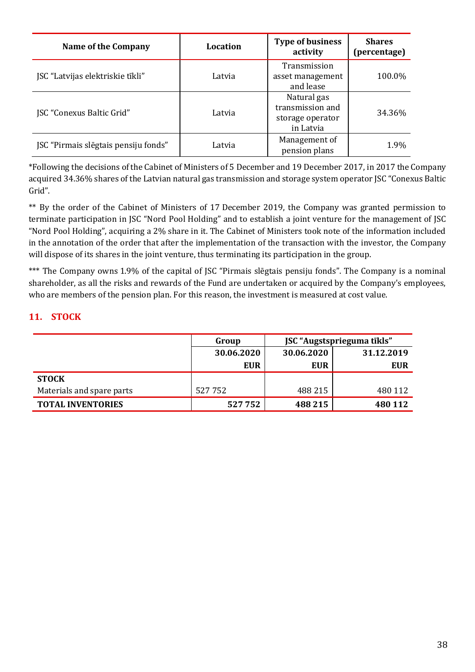| Name of the Company                  | Location | <b>Type of business</b><br>activity                              | <b>Shares</b><br>(percentage) |
|--------------------------------------|----------|------------------------------------------------------------------|-------------------------------|
| JSC "Latvijas elektriskie tīkli"     | Latvia   | Transmission<br>asset management<br>and lease                    | 100.0%                        |
| JSC "Conexus Baltic Grid"            | Latvia   | Natural gas<br>transmission and<br>storage operator<br>in Latvia | 34.36%                        |
| JSC "Pirmais slēgtais pensiju fonds" | Latvia   | Management of<br>pension plans                                   | 1.9%                          |

\*Following the decisions of the Cabinet of Ministers of 5 December and 19 December 2017, in 2017 the Company acquired 34.36% shares of the Latvian natural gas transmission and storage system operator JSC "Conexus Baltic Grid".

\*\* By the order of the Cabinet of Ministers of 17 December 2019, the Company was granted permission to terminate participation in JSC "Nord Pool Holding" and to establish a joint venture for the management of JSC "Nord Pool Holding", acquiring a 2% share in it. The Cabinet of Ministers took note of the information included in the annotation of the order that after the implementation of the transaction with the investor, the Company will dispose of its shares in the joint venture, thus terminating its participation in the group.

\*\*\* The Company owns 1.9% of the capital of JSC "Pirmais slēgtais pensiju fonds". The Company is a nominal shareholder, as all the risks and rewards of the Fund are undertaken or acquired by the Company's employees, who are members of the pension plan. For this reason, the investment is measured at cost value.

# **11. STOCK**

|                           | Group      | JSC "Augstsprieguma tīkls" |            |
|---------------------------|------------|----------------------------|------------|
|                           | 30.06.2020 | 30.06.2020                 | 31.12.2019 |
|                           | <b>EUR</b> | <b>EUR</b>                 | <b>EUR</b> |
| <b>STOCK</b>              |            |                            |            |
| Materials and spare parts | 527752     | 488 215                    | 480 112    |
| <b>TOTAL INVENTORIES</b>  | 527752     | 488 215                    | 480 112    |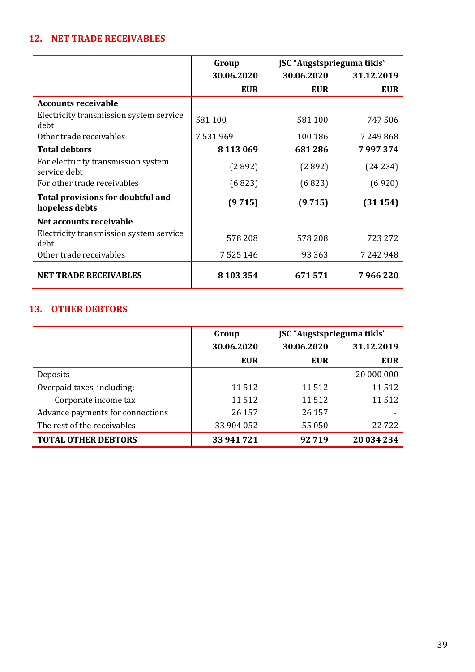# **12. NET TRADE RECEIVABLES**

|                                                     | JSC "Augstsprieguma tīkls"<br>Group |            |            |
|-----------------------------------------------------|-------------------------------------|------------|------------|
|                                                     | 30.06.2020                          | 30.06.2020 | 31.12.2019 |
|                                                     | <b>EUR</b>                          | <b>EUR</b> | <b>EUR</b> |
| <b>Accounts receivable</b>                          |                                     |            |            |
| Electricity transmission system service<br>debt     | 581 100                             | 581 100    | 747506     |
| Other trade receivables                             | 7531969                             | 100 186    | 7 249 868  |
| <b>Total debtors</b>                                | 8 1 1 3 0 6 9                       | 681286     | 7997374    |
| For electricity transmission system<br>service debt | (2892)                              | (2892)     | (24234)    |
| For other trade receivables                         | (6823)                              | (6823)     | (6920)     |
| Total provisions for doubtful and<br>hopeless debts | (9715)                              | (9715)     | (31154)    |
| Net accounts receivable                             |                                     |            |            |
| Electricity transmission system service<br>debt     | 578 208                             | 578 208    | 723 272    |
| Other trade receivables                             | 7 5 2 5 1 4 6                       | 93 3 63    | 7 242 948  |
| <b>NET TRADE RECEIVABLES</b>                        | 8 103 354                           | 671571     | 7 966 220  |

# **13. OTHER DEBTORS**

|                                  | Group      | JSC "Augstsprieguma tīkls" |            |
|----------------------------------|------------|----------------------------|------------|
|                                  | 30.06.2020 | 30.06.2020                 | 31.12.2019 |
|                                  | <b>EUR</b> | <b>EUR</b>                 | <b>EUR</b> |
| Deposits                         |            |                            | 20 000 000 |
| Overpaid taxes, including:       | 11 5 12    | 11512                      | 11512      |
| Corporate income tax             | 11512      | 11512                      | 11512      |
| Advance payments for connections | 26 157     | 26 157                     |            |
| The rest of the receivables      | 33 904 052 | 55 050                     | 22722      |
| <b>TOTAL OTHER DEBTORS</b>       | 33 941 721 | 92719                      | 20 034 234 |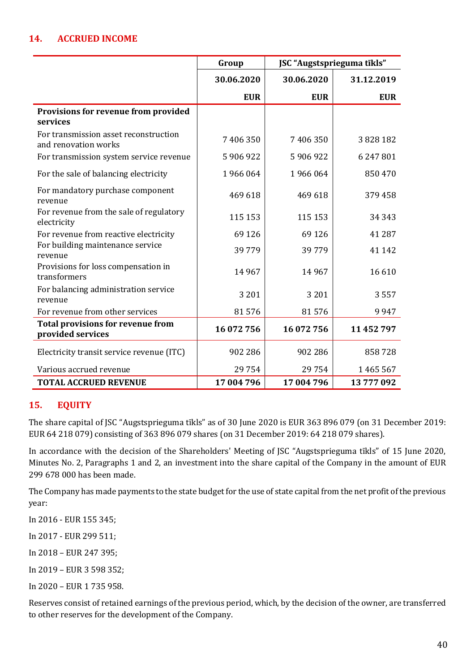# **14. ACCRUED INCOME**

|                                                               | Group      | JSC "Augstsprieguma tīkls" |            |
|---------------------------------------------------------------|------------|----------------------------|------------|
|                                                               | 30.06.2020 | 30.06.2020                 | 31.12.2019 |
|                                                               | <b>EUR</b> | <b>EUR</b>                 | <b>EUR</b> |
| Provisions for revenue from provided<br>services              |            |                            |            |
| For transmission asset reconstruction<br>and renovation works | 7406350    | 7406350                    | 3828182    |
| For transmission system service revenue                       | 5906922    | 5906922                    | 6 247 801  |
| For the sale of balancing electricity                         | 1966064    | 1966064                    | 850 470    |
| For mandatory purchase component<br>revenue                   | 469 618    | 469 618                    | 379458     |
| For revenue from the sale of regulatory<br>electricity        | 115 153    | 115 153                    | 34 3 4 3   |
| For revenue from reactive electricity                         | 69 1 26    | 69 1 26                    | 41 287     |
| For building maintenance service<br>revenue                   | 39779      | 39779                      | 41 1 42    |
| Provisions for loss compensation in<br>transformers           | 14 9 67    | 14 9 67                    | 16610      |
| For balancing administration service<br>revenue               | 3 2 0 1    | 3 2 0 1                    | 3557       |
| For revenue from other services                               | 81576      | 81576                      | 9947       |
| <b>Total provisions for revenue from</b><br>provided services | 16 072 756 | 16 072 756                 | 11 452 797 |
| Electricity transit service revenue (ITC)                     | 902 286    | 902 286                    | 858728     |
| Various accrued revenue                                       | 29754      | 29754                      | 1465567    |
| <b>TOTAL ACCRUED REVENUE</b>                                  | 17 004 796 | 17 004 796                 | 13777092   |

#### **15. EQUITY**

The share capital of JSC "Augstsprieguma tīkls" as of 30 June 2020 is EUR 363 896 079 (on 31 December 2019: EUR 64 218 079) consisting of 363 896 079 shares (on 31 December 2019: 64 218 079 shares).

In accordance with the decision of the Shareholders' Meeting of JSC "Augstsprieguma tīkls" of 15 June 2020, Minutes No. 2, Paragraphs 1 and 2, an investment into the share capital of the Company in the amount of EUR 299 678 000 has been made.

The Company has made payments to the state budget for the use of state capital from the net profit of the previous year:

In 2016 - EUR 155 345;

In 2017 - EUR 299 511;

In 2018 – EUR 247 395;

In 2019 – EUR 3 598 352;

In 2020 – EUR 1 735 958.

Reserves consist of retained earnings of the previous period, which, by the decision of the owner, are transferred to other reserves for the development of the Company.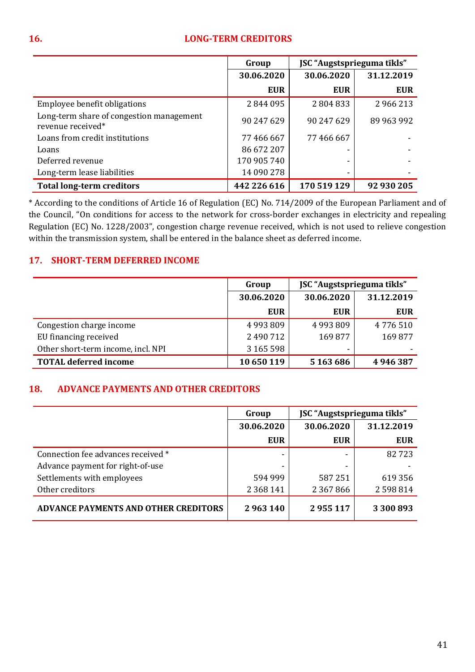#### **16. LONG-TERM CREDITORS**

|                                                               | Group       |             | JSC "Augstsprieguma tīkls" |  |
|---------------------------------------------------------------|-------------|-------------|----------------------------|--|
|                                                               | 30.06.2020  | 30.06.2020  | 31.12.2019                 |  |
|                                                               | <b>EUR</b>  | <b>EUR</b>  | <b>EUR</b>                 |  |
| Employee benefit obligations                                  | 2844095     | 2804833     | 2966213                    |  |
| Long-term share of congestion management<br>revenue received* | 90 247 629  | 90 247 629  | 89 963 992                 |  |
| Loans from credit institutions                                | 77 466 667  | 77 466 667  |                            |  |
| Loans                                                         | 86 672 207  |             |                            |  |
| Deferred revenue                                              | 170 905 740 |             |                            |  |
| Long-term lease liabilities                                   | 14 090 278  |             |                            |  |
| <b>Total long-term creditors</b>                              | 442 226 616 | 170 519 129 | 92 930 205                 |  |

\* According to the conditions of Article 16 of Regulation (EC) No. 714/2009 of the European Parliament and of the Council, "On conditions for access to the network for cross-border exchanges in electricity and repealing Regulation (EC) No. 1228/2003", congestion charge revenue received, which is not used to relieve congestion within the transmission system, shall be entered in the balance sheet as deferred income.

#### **17. SHORT-TERM DEFERRED INCOME**

|                                    | JSC "Augstsprieguma tīkls"<br>Group |            |            |
|------------------------------------|-------------------------------------|------------|------------|
|                                    | 30.06.2020                          | 30.06.2020 | 31.12.2019 |
|                                    | <b>EUR</b>                          | <b>EUR</b> | <b>EUR</b> |
| Congestion charge income           | 4993809                             | 4993809    | 4776510    |
| EU financing received              | 2 490 712                           | 169877     | 169877     |
| Other short-term income, incl. NPI | 3 165 598                           |            |            |
| <b>TOTAL deferred income</b>       | 10 650 119                          | 5 163 686  | 4946387    |

#### **18. ADVANCE PAYMENTS AND OTHER CREDITORS**

|                                             | JSC "Augstsprieguma tīkls"<br>Group |               |            |  |
|---------------------------------------------|-------------------------------------|---------------|------------|--|
|                                             | 30.06.2020                          | 30.06.2020    | 31.12.2019 |  |
|                                             | <b>EUR</b>                          | <b>EUR</b>    | <b>EUR</b> |  |
| Connection fee advances received *          |                                     |               | 82723      |  |
| Advance payment for right-of-use            | ۰                                   |               |            |  |
| Settlements with employees                  | 594 999                             | 587251        | 619 356    |  |
| Other creditors                             | 2 3 6 8 1 4 1                       | 2 3 6 7 8 6 6 | 2598814    |  |
| <b>ADVANCE PAYMENTS AND OTHER CREDITORS</b> | 2963140                             | 2955117       | 3 300 893  |  |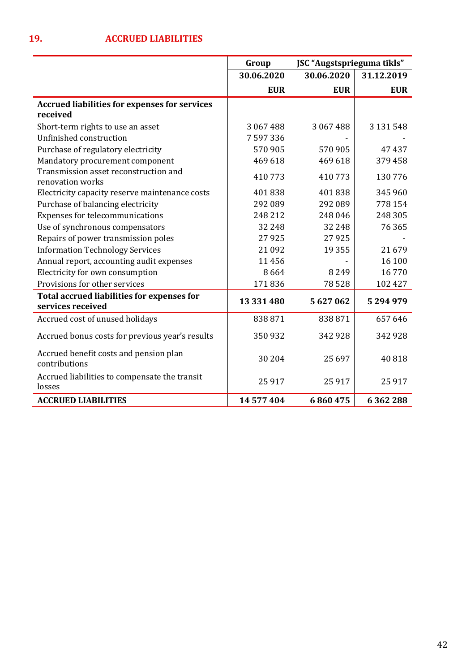|                                                                  | Group      | JSC "Augstsprieguma tīkls" |            |
|------------------------------------------------------------------|------------|----------------------------|------------|
|                                                                  | 30.06.2020 | 30.06.2020                 | 31.12.2019 |
|                                                                  | <b>EUR</b> | <b>EUR</b>                 | <b>EUR</b> |
| <b>Accrued liabilities for expenses for services</b><br>received |            |                            |            |
| Short-term rights to use an asset                                | 3 067 488  | 3 067 488                  | 3 131 548  |
| Unfinished construction                                          | 7 597 336  |                            |            |
| Purchase of regulatory electricity                               | 570 905    | 570905                     | 47437      |
| Mandatory procurement component                                  | 469 618    | 469 618                    | 379458     |
| Transmission asset reconstruction and<br>renovation works        | 410773     | 410773                     | 130776     |
| Electricity capacity reserve maintenance costs                   | 401838     | 401838                     | 345 960    |
| Purchase of balancing electricity                                | 292 089    | 292 089                    | 778 154    |
| Expenses for telecommunications                                  | 248 212    | 248 046                    | 248 305    |
| Use of synchronous compensators                                  | 32 248     | 32 248                     | 76 365     |
| Repairs of power transmission poles                              | 27925      | 27925                      |            |
| <b>Information Technology Services</b>                           | 21 0 9 2   | 19 3 5 5                   | 21679      |
| Annual report, accounting audit expenses                         | 11456      |                            | 16 100     |
| Electricity for own consumption                                  | 8664       | 8 2 4 9                    | 16770      |
| Provisions for other services                                    | 171836     | 78528                      | 102 427    |
| Total accrued liabilities for expenses for<br>services received  | 13 331 480 | 5627062                    | 5294979    |
| Accrued cost of unused holidays                                  | 838871     | 838871                     | 657 646    |
| Accrued bonus costs for previous year's results                  | 350932     | 342 928                    | 342 928    |
| Accrued benefit costs and pension plan<br>contributions          | 30 204     | 25 697                     | 40818      |
| Accrued liabilities to compensate the transit<br>losses          | 25 9 17    | 25917                      | 25 9 17    |
| <b>ACCRUED LIABILITIES</b>                                       | 14 577 404 | 6860475                    | 6362288    |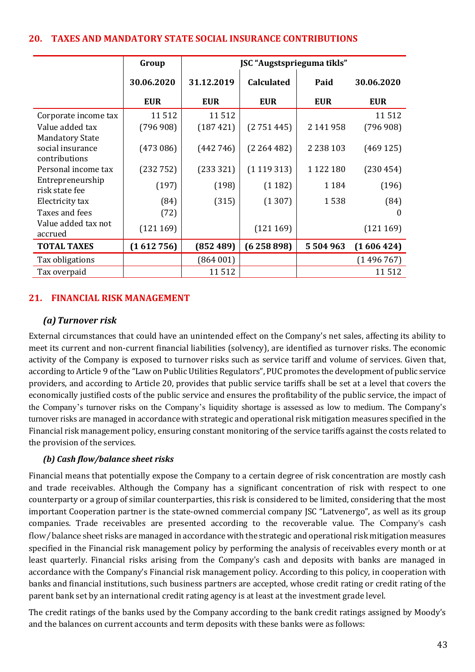#### **20. TAXES AND MANDATORY STATE SOCIAL INSURANCE CONTRIBUTIONS**

|                                                             | Group      | JSC "Augstsprieguma tīkls" |                   |               |            |
|-------------------------------------------------------------|------------|----------------------------|-------------------|---------------|------------|
|                                                             | 30.06.2020 | 31.12.2019                 | <b>Calculated</b> | Paid          | 30.06.2020 |
|                                                             | <b>EUR</b> | <b>EUR</b>                 | <b>EUR</b>        | <b>EUR</b>    | <b>EUR</b> |
| Corporate income tax                                        | 11512      | 11512                      |                   |               | 11512      |
| Value added tax                                             | (796908)   | (187 421)                  | (2751445)         | 2 141 958     | (796908)   |
| <b>Mandatory State</b><br>social insurance<br>contributions | (473086)   | (442746)                   | (2264482)         | 2 2 3 8 1 0 3 | (469125)   |
| Personal income tax                                         | (232752)   | (233 321)                  | (1119313)         | 1 1 2 2 1 8 0 | (230454)   |
| Entrepreneurship<br>risk state fee                          | (197)      | (198)                      | (1182)            | 1 1 8 4       | (196)      |
| Electricity tax                                             | (84)       | (315)                      | (1307)            | 1538          | (84)       |
| Taxes and fees                                              | (72)       |                            |                   |               | 0          |
| Value added tax not<br>accrued                              | (121169)   |                            | (121169)          |               | (121169)   |
| <b>TOTAL TAXES</b>                                          | (1612756)  | (852489)                   | (6258898)         | 5 504 963     | (1606424)  |
| Tax obligations                                             |            | (864001)                   |                   |               | (1496767)  |
| Tax overpaid                                                |            | 11512                      |                   |               | 11 5 12    |

#### **21. FINANCIAL RISK MANAGEMENT**

#### *(a)Turnover risk*

External circumstances that could have an unintended effect on the Company's net sales, affecting its ability to meet its current and non-current financial liabilities (solvency), are identified as turnover risks. The economic activity of the Company is exposed to turnover risks such as service tariff and volume of services. Given that, according to Article 9 of the "Law on Public Utilities Regulators", PUC promotes the development of public service providers, and according to Article 20, provides that public service tariffs shall be set at a level that covers the economically justified costs of the public service and ensures the profitability of the public service, the impact of the Company's turnover risks on the Company's liquidity shortage is assessed as low to medium. The Company's turnover risks are managed in accordance with strategic and operational risk mitigation measures specified in the Financial risk management policy, ensuring constant monitoring of the service tariffs against the costs related to the provision of the services.

#### *(b) Cash flow/balance sheet risks*

Financial means that potentially expose the Company to a certain degree of risk concentration are mostly cash and trade receivables. Although the Company has a significant concentration of risk with respect to one counterparty or a group of similar counterparties, this risk is considered to be limited, considering that the most important Cooperation partner is the state-owned commercial company JSC "Latvenergo", as well as its group companies. Trade receivables are presented according to the recoverable value. The Company's cash flow/balance sheet risks are managed in accordance with the strategic and operational risk mitigation measures specified in the Financial risk management policy by performing the analysis of receivables every month or at least quarterly. Financial risks arising from the Company's cash and deposits with banks are managed in accordance with the Company's Financial risk management policy. According to this policy, in cooperation with banks and financial institutions, such business partners are accepted, whose credit rating or credit rating of the parent bank set by an international credit rating agency is at least at the investment grade level.

The credit ratings of the banks used by the Company according to the bank credit ratings assigned by Moody's and the balances on current accounts and term deposits with these banks were as follows: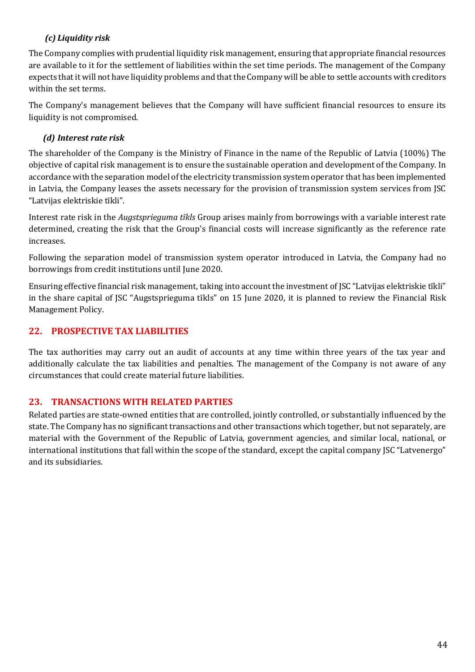## *(c) Liquidity risk*

The Company complies with prudential liquidity risk management, ensuring that appropriate financial resources are available to it for the settlement of liabilities within the set time periods. The management of the Company expects that it will not have liquidity problems and that the Company will be able to settle accounts with creditors within the set terms.

The Company's management believes that the Company will have sufficient financial resources to ensure its liquidity is not compromised.

#### *(d) Interest rate risk*

The shareholder of the Company is the Ministry of Finance in the name of the Republic of Latvia (100%) The objective of capital risk management is to ensure the sustainable operation and development of the Company. In accordance with the separation model of the electricity transmission system operator that has been implemented in Latvia, the Company leases the assets necessary for the provision of transmission system services from JSC "Latvijas elektriskie tīkli".

Interest rate risk in the *Augstsprieguma tīkls* Group arises mainly from borrowings with a variable interest rate determined, creating the risk that the Group's financial costs will increase significantly as the reference rate increases.

Following the separation model of transmission system operator introduced in Latvia, the Company had no borrowings from credit institutions until June 2020.

Ensuring effective financial risk management, taking into account the investment of JSC "Latvijas elektriskie tīkli" in the share capital of JSC "Augstsprieguma tīkls" on 15 June 2020, it is planned to review the Financial Risk Management Policy.

#### **22. PROSPECTIVE TAX LIABILITIES**

The tax authorities may carry out an audit of accounts at any time within three years of the tax year and additionally calculate the tax liabilities and penalties. The management of the Company is not aware of any circumstances that could create material future liabilities.

#### **23. TRANSACTIONS WITH RELATED PARTIES**

Related parties are state-owned entities that are controlled, jointly controlled, or substantially influenced by the state. The Company has no significant transactions and other transactions which together, but not separately, are material with the Government of the Republic of Latvia, government agencies, and similar local, national, or international institutions that fall within the scope of the standard, except the capital company JSC "Latvenergo" and its subsidiaries.